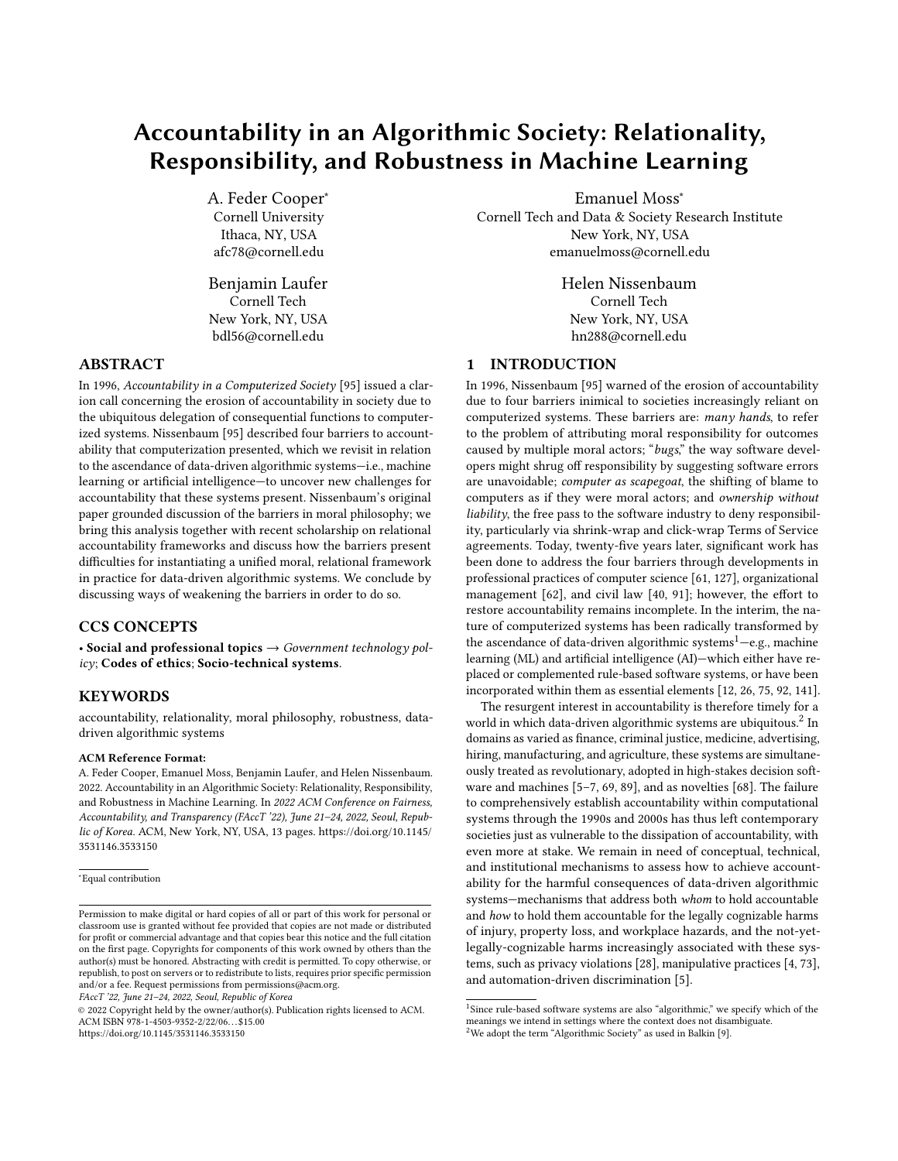# Accountability in an Algorithmic Society: Relationality, Responsibility, and Robustness in Machine Learning

A. Feder Cooper<sup>∗</sup> Cornell University Ithaca, NY, USA afc78@cornell.edu

Benjamin Laufer Cornell Tech New York, NY, USA bdl56@cornell.edu

#### ABSTRACT

In 1996, Accountability in a Computerized Society [\[95\]](#page-11-0) issued a clarion call concerning the erosion of accountability in society due to the ubiquitous delegation of consequential functions to computerized systems. Nissenbaum [\[95\]](#page-11-0) described four barriers to accountability that computerization presented, which we revisit in relation to the ascendance of data-driven algorithmic systems—i.e., machine learning or artificial intelligence—to uncover new challenges for accountability that these systems present. Nissenbaum's original paper grounded discussion of the barriers in moral philosophy; we bring this analysis together with recent scholarship on relational accountability frameworks and discuss how the barriers present difficulties for instantiating a unified moral, relational framework in practice for data-driven algorithmic systems. We conclude by discussing ways of weakening the barriers in order to do so.

# CCS CONCEPTS

• Social and professional topics  $\rightarrow$  Government technology policy; Codes of ethics; Socio-technical systems.

#### **KEYWORDS**

accountability, relationality, moral philosophy, robustness, datadriven algorithmic systems

#### ACM Reference Format:

A. Feder Cooper, Emanuel Moss, Benjamin Laufer, and Helen Nissenbaum. 2022. Accountability in an Algorithmic Society: Relationality, Responsibility, and Robustness in Machine Learning. In 2022 ACM Conference on Fairness, Accountability, and Transparency (FAccT '22), June 21–24, 2022, Seoul, Republic of Korea. ACM, New York, NY, USA, [13](#page-12-0) pages. [https://doi.org/10.1145/](https://doi.org/10.1145/3531146.3533150) [3531146.3533150](https://doi.org/10.1145/3531146.3533150)

<sup>∗</sup>Equal contribution

FAccT '22, June 21–24, 2022, Seoul, Republic of Korea

© 2022 Copyright held by the owner/author(s). Publication rights licensed to ACM. ACM ISBN 978-1-4503-9352-2/22/06. . . \$15.00 <https://doi.org/10.1145/3531146.3533150>

Emanuel Moss<sup>∗</sup>

Cornell Tech and Data & Society Research Institute New York, NY, USA emanuelmoss@cornell.edu

> Helen Nissenbaum Cornell Tech New York, NY, USA hn288@cornell.edu

# 1 INTRODUCTION

In 1996, Nissenbaum [\[95\]](#page-11-0) warned of the erosion of accountability due to four barriers inimical to societies increasingly reliant on computerized systems. These barriers are: many hands, to refer to the problem of attributing moral responsibility for outcomes caused by multiple moral actors; "bugs," the way software developers might shrug off responsibility by suggesting software errors are unavoidable; computer as scapegoat, the shifting of blame to computers as if they were moral actors; and ownership without liability, the free pass to the software industry to deny responsibility, particularly via shrink-wrap and click-wrap Terms of Service agreements. Today, twenty-five years later, significant work has been done to address the four barriers through developments in professional practices of computer science [\[61,](#page-11-1) [127\]](#page-12-1), organizational management [\[62\]](#page-11-2), and civil law [\[40,](#page-10-0) [91\]](#page-11-3); however, the effort to restore accountability remains incomplete. In the interim, the nature of computerized systems has been radically transformed by the ascendance of data-driven algorithmic systems<sup>[1](#page-0-0)</sup>—e.g., machine learning (ML) and artificial intelligence (AI)—which either have replaced or complemented rule-based software systems, or have been incorporated within them as essential elements [\[12,](#page-10-1) [26,](#page-10-2) [75,](#page-11-4) [92,](#page-11-5) [141\]](#page-12-2).

The resurgent interest in accountability is therefore timely for a world in which data-driven algorithmic systems are ubiquitous.<sup>[2](#page-0-1)</sup> In domains as varied as finance, criminal justice, medicine, advertising, hiring, manufacturing, and agriculture, these systems are simultaneously treated as revolutionary, adopted in high-stakes decision software and machines [\[5–](#page-10-3)[7,](#page-10-4) [69,](#page-11-6) [89\]](#page-11-7), and as novelties [\[68\]](#page-11-8). The failure to comprehensively establish accountability within computational systems through the 1990s and 2000s has thus left contemporary societies just as vulnerable to the dissipation of accountability, with even more at stake. We remain in need of conceptual, technical, and institutional mechanisms to assess how to achieve accountability for the harmful consequences of data-driven algorithmic systems—mechanisms that address both whom to hold accountable and how to hold them accountable for the legally cognizable harms of injury, property loss, and workplace hazards, and the not-yetlegally-cognizable harms increasingly associated with these systems, such as privacy violations [\[28\]](#page-10-5), manipulative practices [\[4,](#page-10-6) [73\]](#page-11-9), and automation-driven discrimination [\[5\]](#page-10-3).

Permission to make digital or hard copies of all or part of this work for personal or classroom use is granted without fee provided that copies are not made or distributed for profit or commercial advantage and that copies bear this notice and the full citation on the first page. Copyrights for components of this work owned by others than the author(s) must be honored. Abstracting with credit is permitted. To copy otherwise, or republish, to post on servers or to redistribute to lists, requires prior specific permission and/or a fee. Request permissions from permissions@acm.org.

<span id="page-0-1"></span><span id="page-0-0"></span><sup>&</sup>lt;sup>1</sup>Since rule-based software systems are also "algorithmic," we specify which of the meanings we intend in settings where the context does not disambiguate.  $2$ We adopt the term "Algorithmic Society" as used in Balkin [\[9\]](#page-10-7).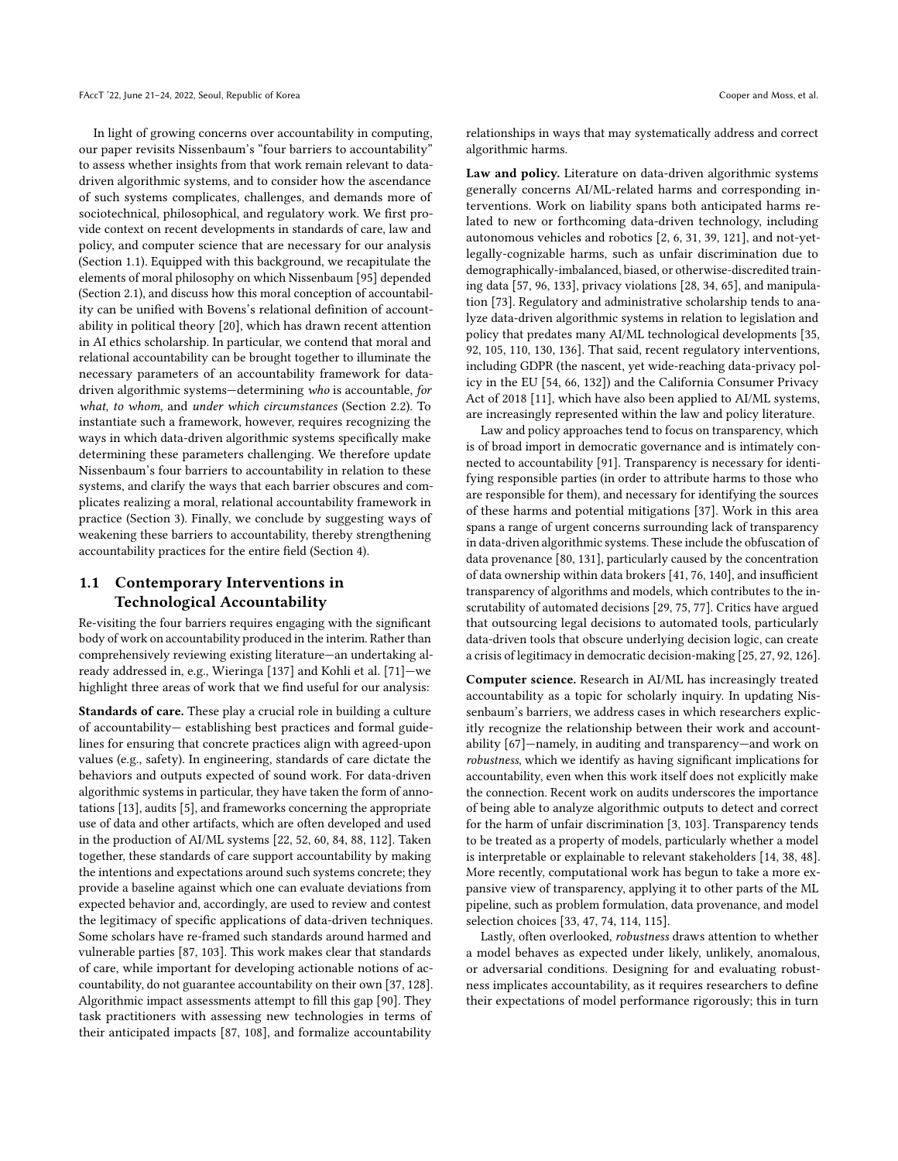In light of growing concerns over accountability in computing, our paper revisits Nissenbaum's "four barriers to accountability" to assess whether insights from that work remain relevant to datadriven algorithmic systems, and to consider how the ascendance of such systems complicates, challenges, and demands more of sociotechnical, philosophical, and regulatory work. We first provide context on recent developments in standards of care, law and policy, and computer science that are necessary for our analysis (Section [1.1\)](#page-1-0). Equipped with this background, we recapitulate the elements of moral philosophy on which Nissenbaum [\[95\]](#page-11-0) depended (Section [2.1\)](#page-2-0), and discuss how this moral conception of accountability can be unified with Bovens's relational definition of accountability in political theory [\[20\]](#page-10-8), which has drawn recent attention in AI ethics scholarship. In particular, we contend that moral and relational accountability can be brought together to illuminate the necessary parameters of an accountability framework for datadriven algorithmic systems—determining who is accountable, for what, to whom, and under which circumstances (Section [2.2\)](#page-2-1). To instantiate such a framework, however, requires recognizing the ways in which data-driven algorithmic systems specifically make determining these parameters challenging. We therefore update Nissenbaum's four barriers to accountability in relation to these systems, and clarify the ways that each barrier obscures and complicates realizing a moral, relational accountability framework in practice (Section [3\)](#page-3-0). Finally, we conclude by suggesting ways of weakening these barriers to accountability, thereby strengthening accountability practices for the entire field (Section [4\)](#page-8-0).

# <span id="page-1-0"></span>1.1 Contemporary Interventions in Technological Accountability

Re-visiting the four barriers requires engaging with the significant body of work on accountability produced in the interim. Rather than comprehensively reviewing existing literature—an undertaking already addressed in, e.g., Wieringa [\[137\]](#page-12-3) and Kohli et al. [\[71\]](#page-11-10)—we highlight three areas of work that we find useful for our analysis:

Standards of care. These play a crucial role in building a culture of accountability— establishing best practices and formal guidelines for ensuring that concrete practices align with agreed-upon values (e.g., safety). In engineering, standards of care dictate the behaviors and outputs expected of sound work. For data-driven algorithmic systems in particular, they have taken the form of annotations [\[13\]](#page-10-9), audits [\[5\]](#page-10-3), and frameworks concerning the appropriate use of data and other artifacts, which are often developed and used in the production of AI/ML systems [\[22,](#page-10-10) [52,](#page-11-11) [60,](#page-11-12) [84,](#page-11-13) [88,](#page-11-14) [112\]](#page-12-4). Taken together, these standards of care support accountability by making the intentions and expectations around such systems concrete; they provide a baseline against which one can evaluate deviations from expected behavior and, accordingly, are used to review and contest the legitimacy of specific applications of data-driven techniques. Some scholars have re-framed such standards around harmed and vulnerable parties [\[87,](#page-11-15) [103\]](#page-12-5). This work makes clear that standards of care, while important for developing actionable notions of accountability, do not guarantee accountability on their own [\[37,](#page-10-11) [128\]](#page-12-6). Algorithmic impact assessments attempt to fill this gap [\[90\]](#page-11-16). They task practitioners with assessing new technologies in terms of their anticipated impacts [\[87,](#page-11-15) [108\]](#page-12-7), and formalize accountability

relationships in ways that may systematically address and correct algorithmic harms.

Law and policy. Literature on data-driven algorithmic systems generally concerns AI/ML-related harms and corresponding interventions. Work on liability spans both anticipated harms related to new or forthcoming data-driven technology, including autonomous vehicles and robotics [\[2,](#page-10-12) [6,](#page-10-13) [31,](#page-10-14) [39,](#page-10-15) [121\]](#page-12-8), and not-yetlegally-cognizable harms, such as unfair discrimination due to demographically-imbalanced, biased, or otherwise-discredited training data [\[57,](#page-11-17) [96,](#page-11-18) [133\]](#page-12-9), privacy violations [\[28,](#page-10-5) [34,](#page-10-16) [65\]](#page-11-19), and manipulation [\[73\]](#page-11-9). Regulatory and administrative scholarship tends to analyze data-driven algorithmic systems in relation to legislation and policy that predates many AI/ML technological developments [\[35,](#page-10-17) [92,](#page-11-5) [105,](#page-12-10) [110,](#page-12-11) [130,](#page-12-12) [136\]](#page-12-13). That said, recent regulatory interventions, including GDPR (the nascent, yet wide-reaching data-privacy policy in the EU [\[54,](#page-11-20) [66,](#page-11-21) [132\]](#page-12-14)) and the California Consumer Privacy Act of 2018 [\[11\]](#page-10-18), which have also been applied to AI/ML systems, are increasingly represented within the law and policy literature.

Law and policy approaches tend to focus on transparency, which is of broad import in democratic governance and is intimately connected to accountability [\[91\]](#page-11-3). Transparency is necessary for identifying responsible parties (in order to attribute harms to those who are responsible for them), and necessary for identifying the sources of these harms and potential mitigations [\[37\]](#page-10-11). Work in this area spans a range of urgent concerns surrounding lack of transparency in data-driven algorithmic systems. These include the obfuscation of data provenance [\[80,](#page-11-22) [131\]](#page-12-15), particularly caused by the concentration of data ownership within data brokers [\[41,](#page-10-19) [76,](#page-11-23) [140\]](#page-12-16), and insufficient transparency of algorithms and models, which contributes to the inscrutability of automated decisions [\[29,](#page-10-20) [75,](#page-11-4) [77\]](#page-11-24). Critics have argued that outsourcing legal decisions to automated tools, particularly data-driven tools that obscure underlying decision logic, can create a crisis of legitimacy in democratic decision-making [\[25,](#page-10-21) [27,](#page-10-22) [92,](#page-11-5) [126\]](#page-12-17).

Computer science. Research in AI/ML has increasingly treated accountability as a topic for scholarly inquiry. In updating Nissenbaum's barriers, we address cases in which researchers explicitly recognize the relationship between their work and accountability [\[67\]](#page-11-25)—namely, in auditing and transparency—and work on robustness, which we identify as having significant implications for accountability, even when this work itself does not explicitly make the connection. Recent work on audits underscores the importance of being able to analyze algorithmic outputs to detect and correct for the harm of unfair discrimination [\[3,](#page-10-23) [103\]](#page-12-5). Transparency tends to be treated as a property of models, particularly whether a model is interpretable or explainable to relevant stakeholders [\[14,](#page-10-24) [38,](#page-10-25) [48\]](#page-10-26). More recently, computational work has begun to take a more expansive view of transparency, applying it to other parts of the ML pipeline, such as problem formulation, data provenance, and model selection choices [\[33,](#page-10-27) [47,](#page-10-28) [74,](#page-11-26) [114,](#page-12-18) [115\]](#page-12-19).

Lastly, often overlooked, robustness draws attention to whether a model behaves as expected under likely, unlikely, anomalous, or adversarial conditions. Designing for and evaluating robustness implicates accountability, as it requires researchers to define their expectations of model performance rigorously; this in turn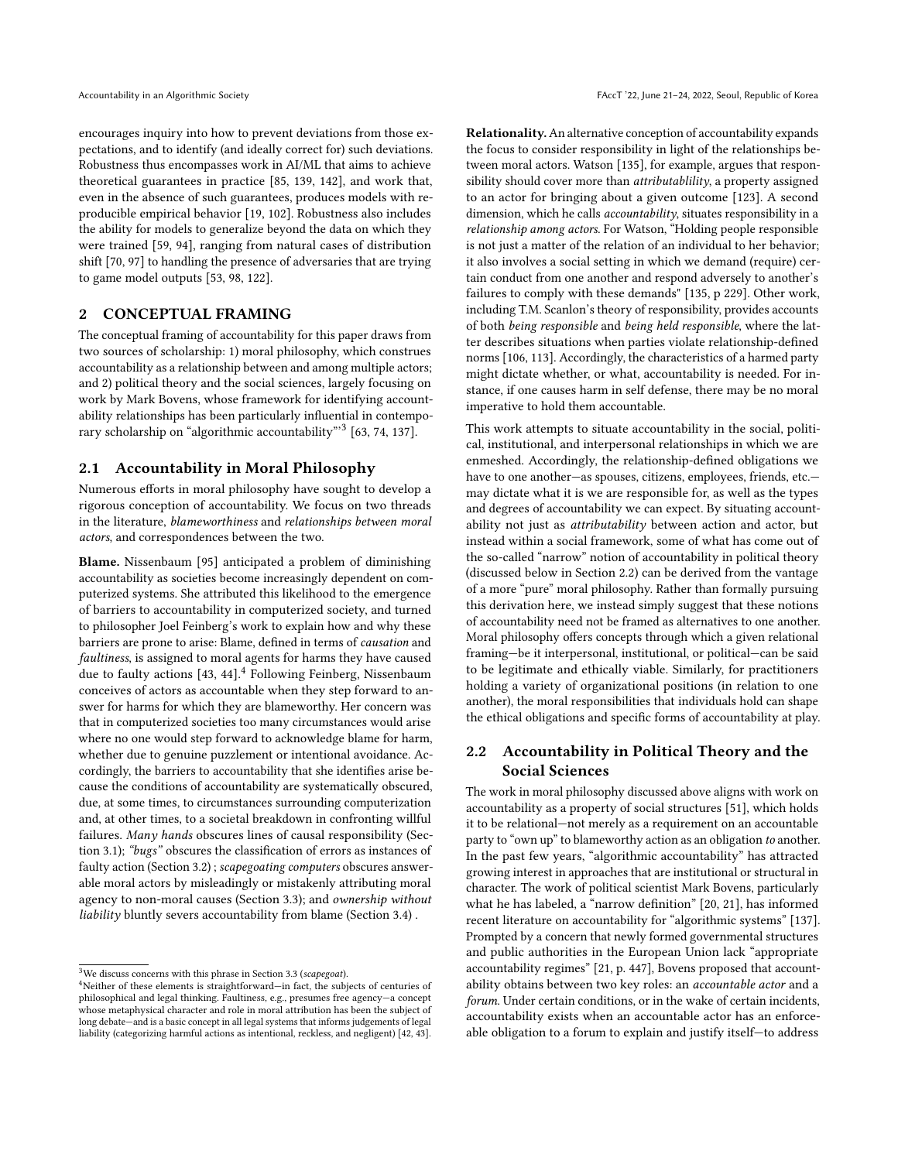encourages inquiry into how to prevent deviations from those expectations, and to identify (and ideally correct for) such deviations. Robustness thus encompasses work in AI/ML that aims to achieve theoretical guarantees in practice [\[85,](#page-11-27) [139,](#page-12-20) [142\]](#page-12-21), and work that, even in the absence of such guarantees, produces models with reproducible empirical behavior [\[19,](#page-10-29) [102\]](#page-12-22). Robustness also includes the ability for models to generalize beyond the data on which they were trained [\[59,](#page-11-28) [94\]](#page-11-29), ranging from natural cases of distribution shift [\[70,](#page-11-30) [97\]](#page-11-31) to handling the presence of adversaries that are trying to game model outputs [\[53,](#page-11-32) [98,](#page-12-23) [122\]](#page-12-24).

# <span id="page-2-4"></span>2 CONCEPTUAL FRAMING

The conceptual framing of accountability for this paper draws from two sources of scholarship: 1) moral philosophy, which construes accountability as a relationship between and among multiple actors; and 2) political theory and the social sciences, largely focusing on work by Mark Bovens, whose framework for identifying accountability relationships has been particularly influential in contempo-rary scholarship on "algorithmic accountability"<sup>[3](#page-2-2)</sup> [\[63,](#page-11-33) [74,](#page-11-26) [137\]](#page-12-3).

#### <span id="page-2-0"></span>2.1 Accountability in Moral Philosophy

Numerous efforts in moral philosophy have sought to develop a rigorous conception of accountability. We focus on two threads in the literature, blameworthiness and relationships between moral actors, and correspondences between the two.

Blame. Nissenbaum [\[95\]](#page-11-0) anticipated a problem of diminishing accountability as societies become increasingly dependent on computerized systems. She attributed this likelihood to the emergence of barriers to accountability in computerized society, and turned to philosopher Joel Feinberg's work to explain how and why these barriers are prone to arise: Blame, defined in terms of causation and faultiness, is assigned to moral agents for harms they have caused due to faulty actions [\[43,](#page-10-30) [44\]](#page-10-31).<sup>[4](#page-2-3)</sup> Following Feinberg, Nissenbaum conceives of actors as accountable when they step forward to answer for harms for which they are blameworthy. Her concern was that in computerized societies too many circumstances would arise where no one would step forward to acknowledge blame for harm, whether due to genuine puzzlement or intentional avoidance. Accordingly, the barriers to accountability that she identifies arise because the conditions of accountability are systematically obscured, due, at some times, to circumstances surrounding computerization and, at other times, to a societal breakdown in confronting willful failures. Many hands obscures lines of causal responsibility (Section [3.1\)](#page-3-1); "bugs" obscures the classification of errors as instances of faulty action (Section [3.2\)](#page-5-0) ; scapegoating computers obscures answerable moral actors by misleadingly or mistakenly attributing moral agency to non-moral causes (Section [3.3\)](#page-6-0); and ownership without liability bluntly severs accountability from blame (Section [3.4\)](#page-7-0) .

Relationality.An alternative conception of accountability expands the focus to consider responsibility in light of the relationships between moral actors. Watson [\[135\]](#page-12-25), for example, argues that responsibility should cover more than *attributablility*, a property assigned to an actor for bringing about a given outcome [\[123\]](#page-12-26). A second dimension, which he calls accountability, situates responsibility in a relationship among actors. For Watson, "Holding people responsible is not just a matter of the relation of an individual to her behavior; it also involves a social setting in which we demand (require) certain conduct from one another and respond adversely to another's failures to comply with these demands" [\[135,](#page-12-25) p 229]. Other work, including T.M. Scanlon's theory of responsibility, provides accounts of both being responsible and being held responsible, where the latter describes situations when parties violate relationship-defined norms [\[106,](#page-12-27) [113\]](#page-12-28). Accordingly, the characteristics of a harmed party might dictate whether, or what, accountability is needed. For instance, if one causes harm in self defense, there may be no moral imperative to hold them accountable.

This work attempts to situate accountability in the social, political, institutional, and interpersonal relationships in which we are enmeshed. Accordingly, the relationship-defined obligations we have to one another—as spouses, citizens, employees, friends, etc. may dictate what it is we are responsible for, as well as the types and degrees of accountability we can expect. By situating accountability not just as attributability between action and actor, but instead within a social framework, some of what has come out of the so-called "narrow" notion of accountability in political theory (discussed below in Section [2.2\)](#page-2-1) can be derived from the vantage of a more "pure" moral philosophy. Rather than formally pursuing this derivation here, we instead simply suggest that these notions of accountability need not be framed as alternatives to one another. Moral philosophy offers concepts through which a given relational framing—be it interpersonal, institutional, or political—can be said to be legitimate and ethically viable. Similarly, for practitioners holding a variety of organizational positions (in relation to one another), the moral responsibilities that individuals hold can shape the ethical obligations and specific forms of accountability at play.

# <span id="page-2-1"></span>2.2 Accountability in Political Theory and the Social Sciences

The work in moral philosophy discussed above aligns with work on accountability as a property of social structures [\[51\]](#page-11-34), which holds it to be relational—not merely as a requirement on an accountable party to "own up" to blameworthy action as an obligation to another. In the past few years, "algorithmic accountability" has attracted growing interest in approaches that are institutional or structural in character. The work of political scientist Mark Bovens, particularly what he has labeled, a "narrow definition" [\[20,](#page-10-8) [21\]](#page-10-33), has informed recent literature on accountability for "algorithmic systems" [\[137\]](#page-12-3). Prompted by a concern that newly formed governmental structures and public authorities in the European Union lack "appropriate accountability regimes" [\[21,](#page-10-33) p. 447], Bovens proposed that accountability obtains between two key roles: an accountable actor and a forum. Under certain conditions, or in the wake of certain incidents, accountability exists when an accountable actor has an enforceable obligation to a forum to explain and justify itself—to address

<span id="page-2-2"></span> $3$ We discuss concerns with this phrase in Section [3.3](#page-6-0) (scapegoat).

<span id="page-2-3"></span><sup>4</sup>Neither of these elements is straightforward—in fact, the subjects of centuries of philosophical and legal thinking. Faultiness, e.g., presumes free agency—a concept whose metaphysical character and role in moral attribution has been the subject of long debate—and is a basic concept in all legal systems that informs judgements of legal liability (categorizing harmful actions as intentional, reckless, and negligent) [\[42,](#page-10-32) [43\]](#page-10-30).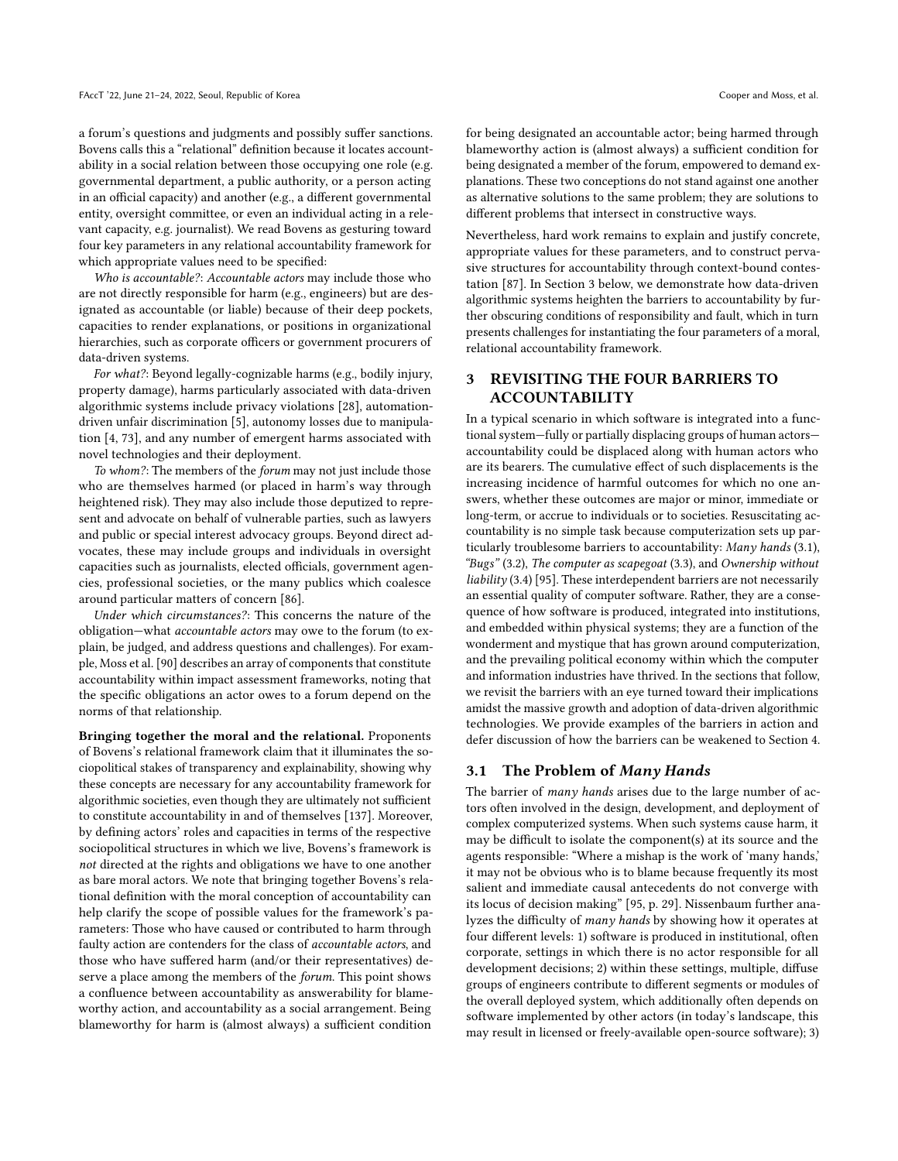a forum's questions and judgments and possibly suffer sanctions. Bovens calls this a "relational" definition because it locates accountability in a social relation between those occupying one role (e.g. governmental department, a public authority, or a person acting in an official capacity) and another (e.g., a different governmental entity, oversight committee, or even an individual acting in a relevant capacity, e.g. journalist). We read Bovens as gesturing toward four key parameters in any relational accountability framework for which appropriate values need to be specified:

Who is accountable?: Accountable actors may include those who are not directly responsible for harm (e.g., engineers) but are designated as accountable (or liable) because of their deep pockets, capacities to render explanations, or positions in organizational hierarchies, such as corporate officers or government procurers of data-driven systems.

For what?: Beyond legally-cognizable harms (e.g., bodily injury, property damage), harms particularly associated with data-driven algorithmic systems include privacy violations [\[28\]](#page-10-5), automationdriven unfair discrimination [\[5\]](#page-10-3), autonomy losses due to manipulation [\[4,](#page-10-6) [73\]](#page-11-9), and any number of emergent harms associated with novel technologies and their deployment.

To whom?: The members of the forum may not just include those who are themselves harmed (or placed in harm's way through heightened risk). They may also include those deputized to represent and advocate on behalf of vulnerable parties, such as lawyers and public or special interest advocacy groups. Beyond direct advocates, these may include groups and individuals in oversight capacities such as journalists, elected officials, government agencies, professional societies, or the many publics which coalesce around particular matters of concern [\[86\]](#page-11-35).

Under which circumstances?: This concerns the nature of the obligation—what accountable actors may owe to the forum (to explain, be judged, and address questions and challenges). For example, Moss et al. [\[90\]](#page-11-16) describes an array of components that constitute accountability within impact assessment frameworks, noting that the specific obligations an actor owes to a forum depend on the norms of that relationship.

Bringing together the moral and the relational. Proponents of Bovens's relational framework claim that it illuminates the sociopolitical stakes of transparency and explainability, showing why these concepts are necessary for any accountability framework for algorithmic societies, even though they are ultimately not sufficient to constitute accountability in and of themselves [\[137\]](#page-12-3). Moreover, by defining actors' roles and capacities in terms of the respective sociopolitical structures in which we live, Bovens's framework is not directed at the rights and obligations we have to one another as bare moral actors. We note that bringing together Bovens's relational definition with the moral conception of accountability can help clarify the scope of possible values for the framework's parameters: Those who have caused or contributed to harm through faulty action are contenders for the class of accountable actors, and those who have suffered harm (and/or their representatives) deserve a place among the members of the forum. This point shows a confluence between accountability as answerability for blameworthy action, and accountability as a social arrangement. Being blameworthy for harm is (almost always) a sufficient condition

for being designated an accountable actor; being harmed through blameworthy action is (almost always) a sufficient condition for being designated a member of the forum, empowered to demand explanations. These two conceptions do not stand against one another as alternative solutions to the same problem; they are solutions to different problems that intersect in constructive ways.

Nevertheless, hard work remains to explain and justify concrete, appropriate values for these parameters, and to construct pervasive structures for accountability through context-bound contestation [\[87\]](#page-11-15). In Section [3](#page-3-0) below, we demonstrate how data-driven algorithmic systems heighten the barriers to accountability by further obscuring conditions of responsibility and fault, which in turn presents challenges for instantiating the four parameters of a moral, relational accountability framework.

# <span id="page-3-0"></span>3 REVISITING THE FOUR BARRIERS TO ACCOUNTABILITY

In a typical scenario in which software is integrated into a functional system—fully or partially displacing groups of human actors accountability could be displaced along with human actors who are its bearers. The cumulative effect of such displacements is the increasing incidence of harmful outcomes for which no one answers, whether these outcomes are major or minor, immediate or long-term, or accrue to individuals or to societies. Resuscitating accountability is no simple task because computerization sets up particularly troublesome barriers to accountability: Many hands [\(3.1\)](#page-3-1), "Bugs" [\(3.2\)](#page-5-0), The computer as scapegoat [\(3.3\)](#page-6-0), and Ownership without liability [\(3.4\)](#page-7-0) [\[95\]](#page-11-0). These interdependent barriers are not necessarily an essential quality of computer software. Rather, they are a consequence of how software is produced, integrated into institutions, and embedded within physical systems; they are a function of the wonderment and mystique that has grown around computerization, and the prevailing political economy within which the computer and information industries have thrived. In the sections that follow, we revisit the barriers with an eye turned toward their implications amidst the massive growth and adoption of data-driven algorithmic technologies. We provide examples of the barriers in action and defer discussion of how the barriers can be weakened to Section [4.](#page-8-0)

### <span id="page-3-1"></span>3.1 The Problem of Many Hands

The barrier of many hands arises due to the large number of actors often involved in the design, development, and deployment of complex computerized systems. When such systems cause harm, it may be difficult to isolate the component(s) at its source and the agents responsible: "Where a mishap is the work of 'many hands,' it may not be obvious who is to blame because frequently its most salient and immediate causal antecedents do not converge with its locus of decision making" [\[95,](#page-11-0) p. 29]. Nissenbaum further analyzes the difficulty of many hands by showing how it operates at four different levels: 1) software is produced in institutional, often corporate, settings in which there is no actor responsible for all development decisions; 2) within these settings, multiple, diffuse groups of engineers contribute to different segments or modules of the overall deployed system, which additionally often depends on software implemented by other actors (in today's landscape, this may result in licensed or freely-available open-source software); 3)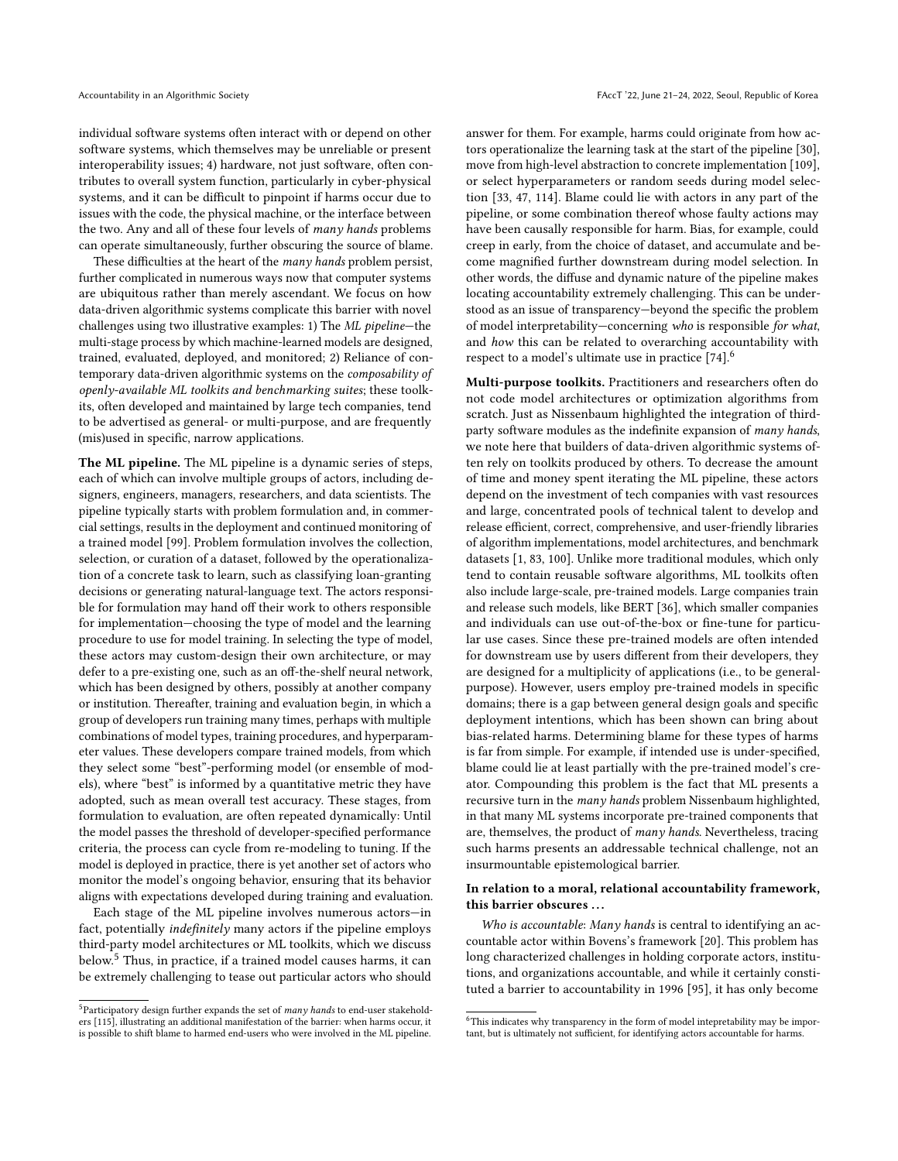individual software systems often interact with or depend on other software systems, which themselves may be unreliable or present interoperability issues; 4) hardware, not just software, often contributes to overall system function, particularly in cyber-physical systems, and it can be difficult to pinpoint if harms occur due to issues with the code, the physical machine, or the interface between the two. Any and all of these four levels of many hands problems can operate simultaneously, further obscuring the source of blame.

These difficulties at the heart of the many hands problem persist, further complicated in numerous ways now that computer systems are ubiquitous rather than merely ascendant. We focus on how data-driven algorithmic systems complicate this barrier with novel challenges using two illustrative examples: 1) The ML pipeline—the multi-stage process by which machine-learned models are designed, trained, evaluated, deployed, and monitored; 2) Reliance of contemporary data-driven algorithmic systems on the composability of openly-available ML toolkits and benchmarking suites; these toolkits, often developed and maintained by large tech companies, tend to be advertised as general- or multi-purpose, and are frequently (mis)used in specific, narrow applications.

The ML pipeline. The ML pipeline is a dynamic series of steps, each of which can involve multiple groups of actors, including designers, engineers, managers, researchers, and data scientists. The pipeline typically starts with problem formulation and, in commercial settings, results in the deployment and continued monitoring of a trained model [\[99\]](#page-12-29). Problem formulation involves the collection, selection, or curation of a dataset, followed by the operationalization of a concrete task to learn, such as classifying loan-granting decisions or generating natural-language text. The actors responsible for formulation may hand off their work to others responsible for implementation—choosing the type of model and the learning procedure to use for model training. In selecting the type of model, these actors may custom-design their own architecture, or may defer to a pre-existing one, such as an off-the-shelf neural network, which has been designed by others, possibly at another company or institution. Thereafter, training and evaluation begin, in which a group of developers run training many times, perhaps with multiple combinations of model types, training procedures, and hyperparameter values. These developers compare trained models, from which they select some "best"-performing model (or ensemble of models), where "best" is informed by a quantitative metric they have adopted, such as mean overall test accuracy. These stages, from formulation to evaluation, are often repeated dynamically: Until the model passes the threshold of developer-specified performance criteria, the process can cycle from re-modeling to tuning. If the model is deployed in practice, there is yet another set of actors who monitor the model's ongoing behavior, ensuring that its behavior aligns with expectations developed during training and evaluation.

Each stage of the ML pipeline involves numerous actors—in fact, potentially indefinitely many actors if the pipeline employs third-party model architectures or ML toolkits, which we discuss below.[5](#page-4-0) Thus, in practice, if a trained model causes harms, it can be extremely challenging to tease out particular actors who should answer for them. For example, harms could originate from how actors operationalize the learning task at the start of the pipeline [\[30\]](#page-10-34), move from high-level abstraction to concrete implementation [\[109\]](#page-12-30), or select hyperparameters or random seeds during model selection [\[33,](#page-10-27) [47,](#page-10-28) [114\]](#page-12-18). Blame could lie with actors in any part of the pipeline, or some combination thereof whose faulty actions may have been causally responsible for harm. Bias, for example, could creep in early, from the choice of dataset, and accumulate and become magnified further downstream during model selection. In other words, the diffuse and dynamic nature of the pipeline makes locating accountability extremely challenging. This can be understood as an issue of transparency—beyond the specific the problem of model interpretability—concerning who is responsible for what, and how this can be related to overarching accountability with respect to a model's ultimate use in practice [\[74\]](#page-11-26).[6](#page-4-1)

Multi-purpose toolkits. Practitioners and researchers often do not code model architectures or optimization algorithms from scratch. Just as Nissenbaum highlighted the integration of thirdparty software modules as the indefinite expansion of many hands, we note here that builders of data-driven algorithmic systems often rely on toolkits produced by others. To decrease the amount of time and money spent iterating the ML pipeline, these actors depend on the investment of tech companies with vast resources and large, concentrated pools of technical talent to develop and release efficient, correct, comprehensive, and user-friendly libraries of algorithm implementations, model architectures, and benchmark datasets [\[1,](#page-10-35) [83,](#page-11-36) [100\]](#page-12-31). Unlike more traditional modules, which only tend to contain reusable software algorithms, ML toolkits often also include large-scale, pre-trained models. Large companies train and release such models, like BERT [\[36\]](#page-10-36), which smaller companies and individuals can use out-of-the-box or fine-tune for particular use cases. Since these pre-trained models are often intended for downstream use by users different from their developers, they are designed for a multiplicity of applications (i.e., to be generalpurpose). However, users employ pre-trained models in specific domains; there is a gap between general design goals and specific deployment intentions, which has been shown can bring about bias-related harms. Determining blame for these types of harms is far from simple. For example, if intended use is under-specified, blame could lie at least partially with the pre-trained model's creator. Compounding this problem is the fact that ML presents a recursive turn in the many hands problem Nissenbaum highlighted, in that many ML systems incorporate pre-trained components that are, themselves, the product of many hands. Nevertheless, tracing such harms presents an addressable technical challenge, not an insurmountable epistemological barrier.

#### In relation to a moral, relational accountability framework, this barrier obscures ...

Who is accountable: Many hands is central to identifying an accountable actor within Bovens's framework [\[20\]](#page-10-8). This problem has long characterized challenges in holding corporate actors, institutions, and organizations accountable, and while it certainly constituted a barrier to accountability in 1996 [\[95\]](#page-11-0), it has only become

<span id="page-4-0"></span> $5$ Participatory design further expands the set of many hands to end-user stakeholders [\[115\]](#page-12-19), illustrating an additional manifestation of the barrier: when harms occur, it is possible to shift blame to harmed end-users who were involved in the ML pipeline.

<span id="page-4-1"></span> $6$ This indicates why transparency in the form of model intepretability may be important, but is ultimately not sufficient, for identifying actors accountable for harms.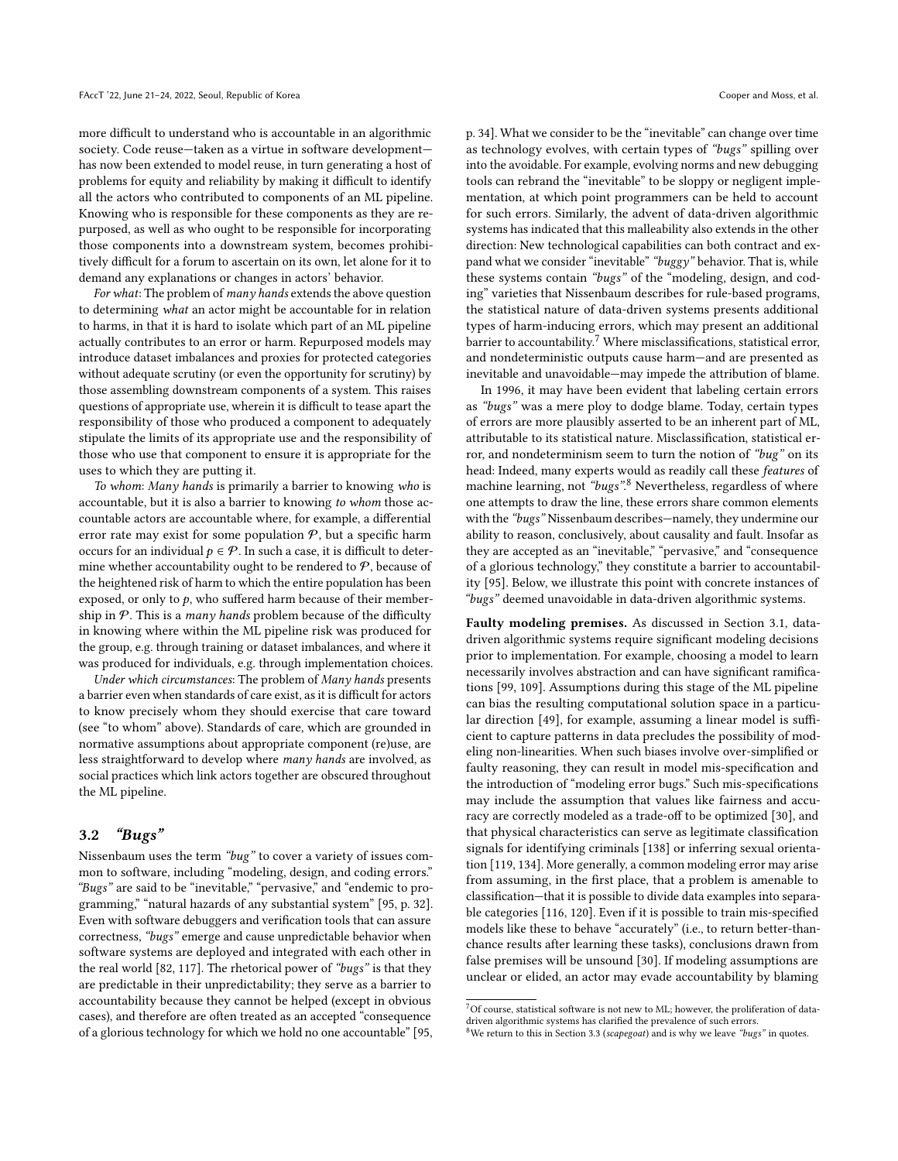more difficult to understand who is accountable in an algorithmic society. Code reuse—taken as a virtue in software development has now been extended to model reuse, in turn generating a host of problems for equity and reliability by making it difficult to identify all the actors who contributed to components of an ML pipeline. Knowing who is responsible for these components as they are repurposed, as well as who ought to be responsible for incorporating those components into a downstream system, becomes prohibitively difficult for a forum to ascertain on its own, let alone for it to demand any explanations or changes in actors' behavior.

For what: The problem of many hands extends the above question to determining what an actor might be accountable for in relation to harms, in that it is hard to isolate which part of an ML pipeline actually contributes to an error or harm. Repurposed models may introduce dataset imbalances and proxies for protected categories without adequate scrutiny (or even the opportunity for scrutiny) by those assembling downstream components of a system. This raises questions of appropriate use, wherein it is difficult to tease apart the responsibility of those who produced a component to adequately stipulate the limits of its appropriate use and the responsibility of those who use that component to ensure it is appropriate for the uses to which they are putting it.

To whom: Many hands is primarily a barrier to knowing who is accountable, but it is also a barrier to knowing to whom those accountable actors are accountable where, for example, a differential error rate may exist for some population  $P$ , but a specific harm occurs for an individual  $p \in \mathcal{P}$ . In such a case, it is difficult to determine whether accountability ought to be rendered to  $P$ , because of the heightened risk of harm to which the entire population has been exposed, or only to  $p$ , who suffered harm because of their membership in  $P$ . This is a *many hands* problem because of the difficulty in knowing where within the ML pipeline risk was produced for the group, e.g. through training or dataset imbalances, and where it was produced for individuals, e.g. through implementation choices.

Under which circumstances: The problem of Many hands presents a barrier even when standards of care exist, as it is difficult for actors to know precisely whom they should exercise that care toward (see "to whom" above). Standards of care, which are grounded in normative assumptions about appropriate component (re)use, are less straightforward to develop where many hands are involved, as social practices which link actors together are obscured throughout the ML pipeline.

#### <span id="page-5-0"></span>3.2 "Bugs"

Nissenbaum uses the term "bug" to cover a variety of issues common to software, including "modeling, design, and coding errors." "Bugs" are said to be "inevitable," "pervasive," and "endemic to programming," "natural hazards of any substantial system" [\[95,](#page-11-0) p. 32]. Even with software debuggers and verification tools that can assure correctness, "bugs" emerge and cause unpredictable behavior when software systems are deployed and integrated with each other in the real world [\[82,](#page-11-37) [117\]](#page-12-32). The rhetorical power of "bugs" is that they are predictable in their unpredictability; they serve as a barrier to accountability because they cannot be helped (except in obvious cases), and therefore are often treated as an accepted "consequence of a glorious technology for which we hold no one accountable" [\[95,](#page-11-0) p. 34]. What we consider to be the "inevitable" can change over time as technology evolves, with certain types of "bugs" spilling over into the avoidable. For example, evolving norms and new debugging tools can rebrand the "inevitable" to be sloppy or negligent implementation, at which point programmers can be held to account for such errors. Similarly, the advent of data-driven algorithmic systems has indicated that this malleability also extends in the other direction: New technological capabilities can both contract and expand what we consider "inevitable" "buggy" behavior. That is, while these systems contain "bugs" of the "modeling, design, and coding" varieties that Nissenbaum describes for rule-based programs, the statistical nature of data-driven systems presents additional types of harm-inducing errors, which may present an additional barrier to accountability.<sup>[7](#page-5-1)</sup> Where misclassifications, statistical error, and nondeterministic outputs cause harm—and are presented as inevitable and unavoidable—may impede the attribution of blame.

In 1996, it may have been evident that labeling certain errors as "bugs" was a mere ploy to dodge blame. Today, certain types of errors are more plausibly asserted to be an inherent part of ML, attributable to its statistical nature. Misclassification, statistical error, and nondeterminism seem to turn the notion of "bug" on its head: Indeed, many experts would as readily call these features of machine learning, not "bugs".<sup>[8](#page-5-2)</sup> Nevertheless, regardless of where one attempts to draw the line, these errors share common elements with the "bugs" Nissenbaum describes—namely, they undermine our ability to reason, conclusively, about causality and fault. Insofar as they are accepted as an "inevitable," "pervasive," and "consequence of a glorious technology," they constitute a barrier to accountability [\[95\]](#page-11-0). Below, we illustrate this point with concrete instances of "bugs" deemed unavoidable in data-driven algorithmic systems.

Faulty modeling premises. As discussed in Section [3.1,](#page-3-1) datadriven algorithmic systems require significant modeling decisions prior to implementation. For example, choosing a model to learn necessarily involves abstraction and can have significant ramifications [\[99,](#page-12-29) [109\]](#page-12-30). Assumptions during this stage of the ML pipeline can bias the resulting computational solution space in a particular direction [\[49\]](#page-11-38), for example, assuming a linear model is sufficient to capture patterns in data precludes the possibility of modeling non-linearities. When such biases involve over-simplified or faulty reasoning, they can result in model mis-specification and the introduction of "modeling error bugs." Such mis-specifications may include the assumption that values like fairness and accuracy are correctly modeled as a trade-off to be optimized [\[30\]](#page-10-34), and that physical characteristics can serve as legitimate classification signals for identifying criminals [\[138\]](#page-12-33) or inferring sexual orientation [\[119,](#page-12-34) [134\]](#page-12-35). More generally, a common modeling error may arise from assuming, in the first place, that a problem is amenable to classification—that it is possible to divide data examples into separable categories [\[116,](#page-12-36) [120\]](#page-12-37). Even if it is possible to train mis-specified models like these to behave "accurately" (i.e., to return better-thanchance results after learning these tasks), conclusions drawn from false premises will be unsound [\[30\]](#page-10-34). If modeling assumptions are unclear or elided, an actor may evade accountability by blaming

<span id="page-5-1"></span> $^7{\rm Of}$  course, statistical software is not new to ML; however, the proliferation of datadriven algorithmic systems has clarified the prevalence of such errors.

<span id="page-5-2"></span> $8$ We return to this in Section [3.3](#page-6-0) (scapegoat) and is why we leave "bugs" in quotes.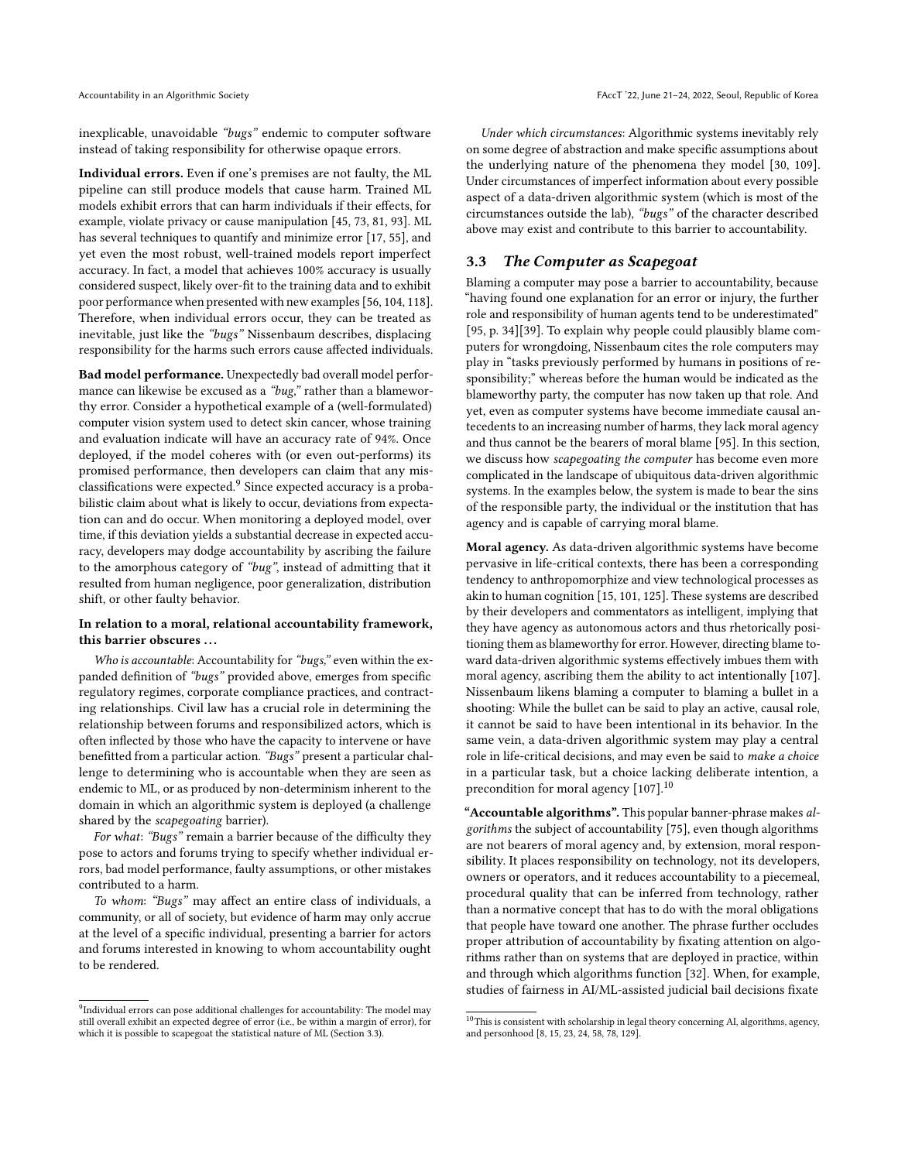inexplicable, unavoidable "bugs" endemic to computer software instead of taking responsibility for otherwise opaque errors.

Individual errors. Even if one's premises are not faulty, the ML pipeline can still produce models that cause harm. Trained ML models exhibit errors that can harm individuals if their effects, for example, violate privacy or cause manipulation [\[45,](#page-10-37) [73,](#page-11-9) [81,](#page-11-39) [93\]](#page-11-40). ML has several techniques to quantify and minimize error [\[17,](#page-10-38) [55\]](#page-11-41), and yet even the most robust, well-trained models report imperfect accuracy. In fact, a model that achieves 100% accuracy is usually considered suspect, likely over-fit to the training data and to exhibit poor performance when presented with new examples [\[56,](#page-11-42) [104,](#page-12-38) [118\]](#page-12-39). Therefore, when individual errors occur, they can be treated as inevitable, just like the "bugs" Nissenbaum describes, displacing responsibility for the harms such errors cause affected individuals.

Bad model performance. Unexpectedly bad overall model performance can likewise be excused as a "bug," rather than a blameworthy error. Consider a hypothetical example of a (well-formulated) computer vision system used to detect skin cancer, whose training and evaluation indicate will have an accuracy rate of 94%. Once deployed, if the model coheres with (or even out-performs) its promised performance, then developers can claim that any misclassifications were expected.[9](#page-6-1) Since expected accuracy is a probabilistic claim about what is likely to occur, deviations from expectation can and do occur. When monitoring a deployed model, over time, if this deviation yields a substantial decrease in expected accuracy, developers may dodge accountability by ascribing the failure to the amorphous category of "bug", instead of admitting that it resulted from human negligence, poor generalization, distribution shift, or other faulty behavior.

#### In relation to a moral, relational accountability framework, this barrier obscures ...

Who is accountable: Accountability for "bugs," even within the expanded definition of "bugs" provided above, emerges from specific regulatory regimes, corporate compliance practices, and contracting relationships. Civil law has a crucial role in determining the relationship between forums and responsibilized actors, which is often inflected by those who have the capacity to intervene or have benefitted from a particular action. "Bugs" present a particular challenge to determining who is accountable when they are seen as endemic to ML, or as produced by non-determinism inherent to the domain in which an algorithmic system is deployed (a challenge shared by the scapegoating barrier).

For what: "Bugs" remain a barrier because of the difficulty they pose to actors and forums trying to specify whether individual errors, bad model performance, faulty assumptions, or other mistakes contributed to a harm.

To whom: "Bugs" may affect an entire class of individuals, a community, or all of society, but evidence of harm may only accrue at the level of a specific individual, presenting a barrier for actors and forums interested in knowing to whom accountability ought to be rendered.

<span id="page-6-1"></span><sup>9</sup>Individual errors can pose additional challenges for accountability: The model may still overall exhibit an expected degree of error (i.e., be within a margin of error), for which it is possible to scapegoat the statistical nature of ML (Section [3.3\)](#page-6-0).

Under which circumstances: Algorithmic systems inevitably rely on some degree of abstraction and make specific assumptions about the underlying nature of the phenomena they model [\[30,](#page-10-34) [109\]](#page-12-30). Under circumstances of imperfect information about every possible aspect of a data-driven algorithmic system (which is most of the circumstances outside the lab), "bugs" of the character described above may exist and contribute to this barrier to accountability.

#### <span id="page-6-0"></span>3.3 The Computer as Scapegoat

Blaming a computer may pose a barrier to accountability, because "having found one explanation for an error or injury, the further role and responsibility of human agents tend to be underestimated" [\[95,](#page-11-0) p. 34][\[39\]](#page-10-15). To explain why people could plausibly blame computers for wrongdoing, Nissenbaum cites the role computers may play in "tasks previously performed by humans in positions of responsibility;" whereas before the human would be indicated as the blameworthy party, the computer has now taken up that role. And yet, even as computer systems have become immediate causal antecedents to an increasing number of harms, they lack moral agency and thus cannot be the bearers of moral blame [\[95\]](#page-11-0). In this section, we discuss how scapegoating the computer has become even more complicated in the landscape of ubiquitous data-driven algorithmic systems. In the examples below, the system is made to bear the sins of the responsible party, the individual or the institution that has agency and is capable of carrying moral blame.

Moral agency. As data-driven algorithmic systems have become pervasive in life-critical contexts, there has been a corresponding tendency to anthropomorphize and view technological processes as akin to human cognition [\[15,](#page-10-39) [101,](#page-12-40) [125\]](#page-12-41). These systems are described by their developers and commentators as intelligent, implying that they have agency as autonomous actors and thus rhetorically positioning them as blameworthy for error. However, directing blame toward data-driven algorithmic systems effectively imbues them with moral agency, ascribing them the ability to act intentionally [\[107\]](#page-12-42). Nissenbaum likens blaming a computer to blaming a bullet in a shooting: While the bullet can be said to play an active, causal role, it cannot be said to have been intentional in its behavior. In the same vein, a data-driven algorithmic system may play a central role in life-critical decisions, and may even be said to make a choice in a particular task, but a choice lacking deliberate intention, a precondition for moral agency [\[107\]](#page-12-42).<sup>[10](#page-6-2)</sup>

"Accountable algorithms". This popular banner-phrase makes algorithms the subject of accountability [\[75\]](#page-11-4), even though algorithms are not bearers of moral agency and, by extension, moral responsibility. It places responsibility on technology, not its developers, owners or operators, and it reduces accountability to a piecemeal, procedural quality that can be inferred from technology, rather than a normative concept that has to do with the moral obligations that people have toward one another. The phrase further occludes proper attribution of accountability by fixating attention on algorithms rather than on systems that are deployed in practice, within and through which algorithms function [\[32\]](#page-10-40). When, for example, studies of fairness in AI/ML-assisted judicial bail decisions fixate

<span id="page-6-2"></span> $^{10}\mathrm{This}$  is consistent with scholarship in legal theory concerning AI, algorithms, agency, and personhood [\[8,](#page-10-41) [15,](#page-10-39) [23,](#page-10-42) [24,](#page-10-43) [58,](#page-11-43) [78,](#page-11-44) [129\]](#page-12-43).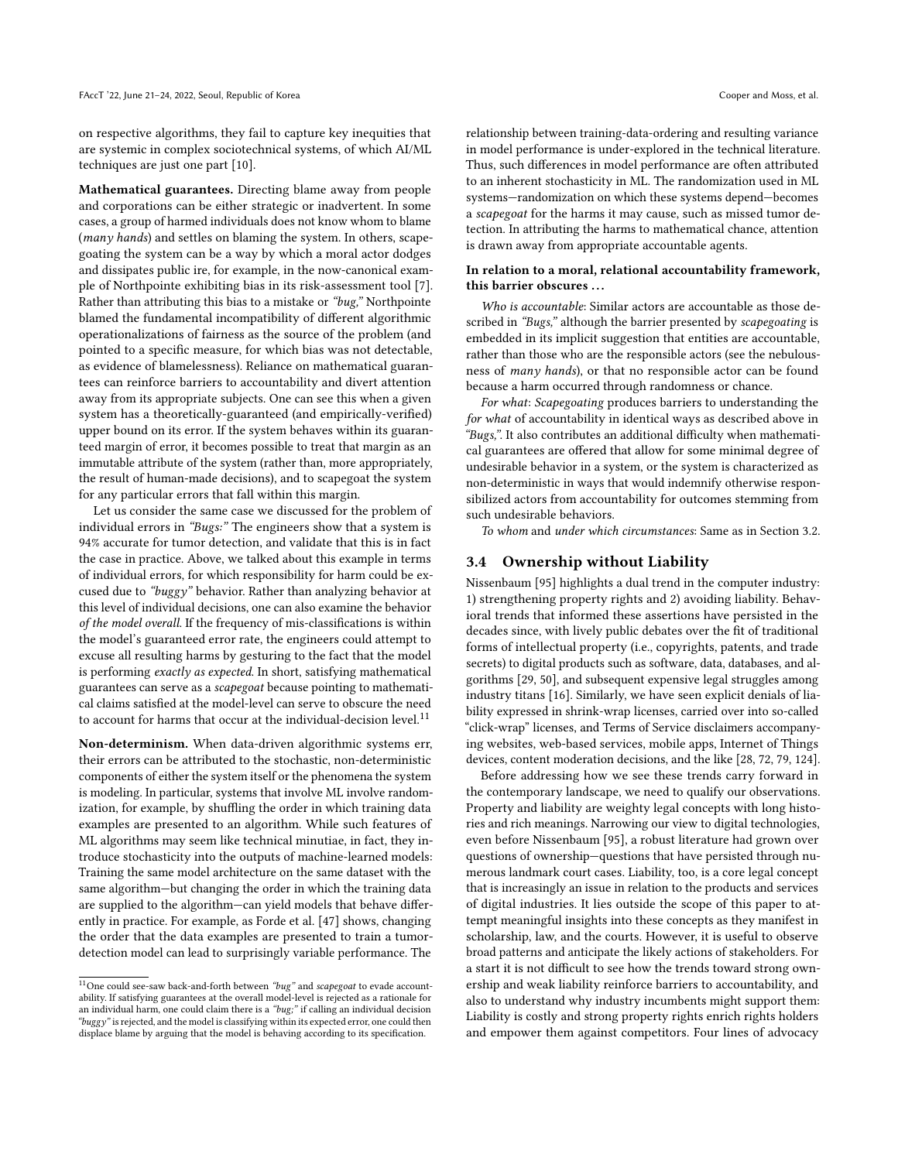on respective algorithms, they fail to capture key inequities that are systemic in complex sociotechnical systems, of which AI/ML techniques are just one part [\[10\]](#page-10-44).

Mathematical guarantees. Directing blame away from people and corporations can be either strategic or inadvertent. In some cases, a group of harmed individuals does not know whom to blame (many hands) and settles on blaming the system. In others, scapegoating the system can be a way by which a moral actor dodges and dissipates public ire, for example, in the now-canonical example of Northpointe exhibiting bias in its risk-assessment tool [\[7\]](#page-10-4). Rather than attributing this bias to a mistake or "bug," Northpointe blamed the fundamental incompatibility of different algorithmic operationalizations of fairness as the source of the problem (and pointed to a specific measure, for which bias was not detectable, as evidence of blamelessness). Reliance on mathematical guarantees can reinforce barriers to accountability and divert attention away from its appropriate subjects. One can see this when a given system has a theoretically-guaranteed (and empirically-verified) upper bound on its error. If the system behaves within its guaranteed margin of error, it becomes possible to treat that margin as an immutable attribute of the system (rather than, more appropriately, the result of human-made decisions), and to scapegoat the system for any particular errors that fall within this margin.

Let us consider the same case we discussed for the problem of individual errors in "Bugs:" The engineers show that a system is 94% accurate for tumor detection, and validate that this is in fact the case in practice. Above, we talked about this example in terms of individual errors, for which responsibility for harm could be excused due to "buggy" behavior. Rather than analyzing behavior at this level of individual decisions, one can also examine the behavior of the model overall. If the frequency of mis-classifications is within the model's guaranteed error rate, the engineers could attempt to excuse all resulting harms by gesturing to the fact that the model is performing exactly as expected. In short, satisfying mathematical guarantees can serve as a scapegoat because pointing to mathematical claims satisfied at the model-level can serve to obscure the need to account for harms that occur at the individual-decision level. $^{11}$  $^{11}$  $^{11}$ 

Non-determinism. When data-driven algorithmic systems err, their errors can be attributed to the stochastic, non-deterministic components of either the system itself or the phenomena the system is modeling. In particular, systems that involve ML involve randomization, for example, by shuffling the order in which training data examples are presented to an algorithm. While such features of ML algorithms may seem like technical minutiae, in fact, they introduce stochasticity into the outputs of machine-learned models: Training the same model architecture on the same dataset with the same algorithm—but changing the order in which the training data are supplied to the algorithm—can yield models that behave differently in practice. For example, as Forde et al. [\[47\]](#page-10-28) shows, changing the order that the data examples are presented to train a tumordetection model can lead to surprisingly variable performance. The

relationship between training-data-ordering and resulting variance in model performance is under-explored in the technical literature. Thus, such differences in model performance are often attributed to an inherent stochasticity in ML. The randomization used in ML systems—randomization on which these systems depend—becomes a scapegoat for the harms it may cause, such as missed tumor detection. In attributing the harms to mathematical chance, attention is drawn away from appropriate accountable agents.

#### In relation to a moral, relational accountability framework, this barrier obscures ...

Who is accountable: Similar actors are accountable as those described in "Bugs," although the barrier presented by scapegoating is embedded in its implicit suggestion that entities are accountable, rather than those who are the responsible actors (see the nebulousness of many hands), or that no responsible actor can be found because a harm occurred through randomness or chance.

For what: Scapegoating produces barriers to understanding the for what of accountability in identical ways as described above in "Bugs,". It also contributes an additional difficulty when mathematical guarantees are offered that allow for some minimal degree of undesirable behavior in a system, or the system is characterized as non-deterministic in ways that would indemnify otherwise responsibilized actors from accountability for outcomes stemming from such undesirable behaviors.

To whom and under which circumstances: Same as in Section [3.2.](#page-5-0)

#### <span id="page-7-0"></span>3.4 Ownership without Liability

Nissenbaum [\[95\]](#page-11-0) highlights a dual trend in the computer industry: 1) strengthening property rights and 2) avoiding liability. Behavioral trends that informed these assertions have persisted in the decades since, with lively public debates over the fit of traditional forms of intellectual property (i.e., copyrights, patents, and trade secrets) to digital products such as software, data, databases, and algorithms [\[29,](#page-10-20) [50\]](#page-11-45), and subsequent expensive legal struggles among industry titans [\[16\]](#page-10-45). Similarly, we have seen explicit denials of liability expressed in shrink-wrap licenses, carried over into so-called "click-wrap" licenses, and Terms of Service disclaimers accompanying websites, web-based services, mobile apps, Internet of Things devices, content moderation decisions, and the like [\[28,](#page-10-5) [72,](#page-11-46) [79,](#page-11-47) [124\]](#page-12-44).

Before addressing how we see these trends carry forward in the contemporary landscape, we need to qualify our observations. Property and liability are weighty legal concepts with long histories and rich meanings. Narrowing our view to digital technologies, even before Nissenbaum [\[95\]](#page-11-0), a robust literature had grown over questions of ownership—questions that have persisted through numerous landmark court cases. Liability, too, is a core legal concept that is increasingly an issue in relation to the products and services of digital industries. It lies outside the scope of this paper to attempt meaningful insights into these concepts as they manifest in scholarship, law, and the courts. However, it is useful to observe broad patterns and anticipate the likely actions of stakeholders. For a start it is not difficult to see how the trends toward strong ownership and weak liability reinforce barriers to accountability, and also to understand why industry incumbents might support them: Liability is costly and strong property rights enrich rights holders and empower them against competitors. Four lines of advocacy

<span id="page-7-1"></span> $^{11}$  One could see-saw back-and-forth between "bug" and scapegoat to evade accountability. If satisfying guarantees at the overall model-level is rejected as a rationale for an individual harm, one could claim there is a "bug;" if calling an individual decision "buggy" is rejected, and the model is classifying within its expected error, one could then displace blame by arguing that the model is behaving according to its specification.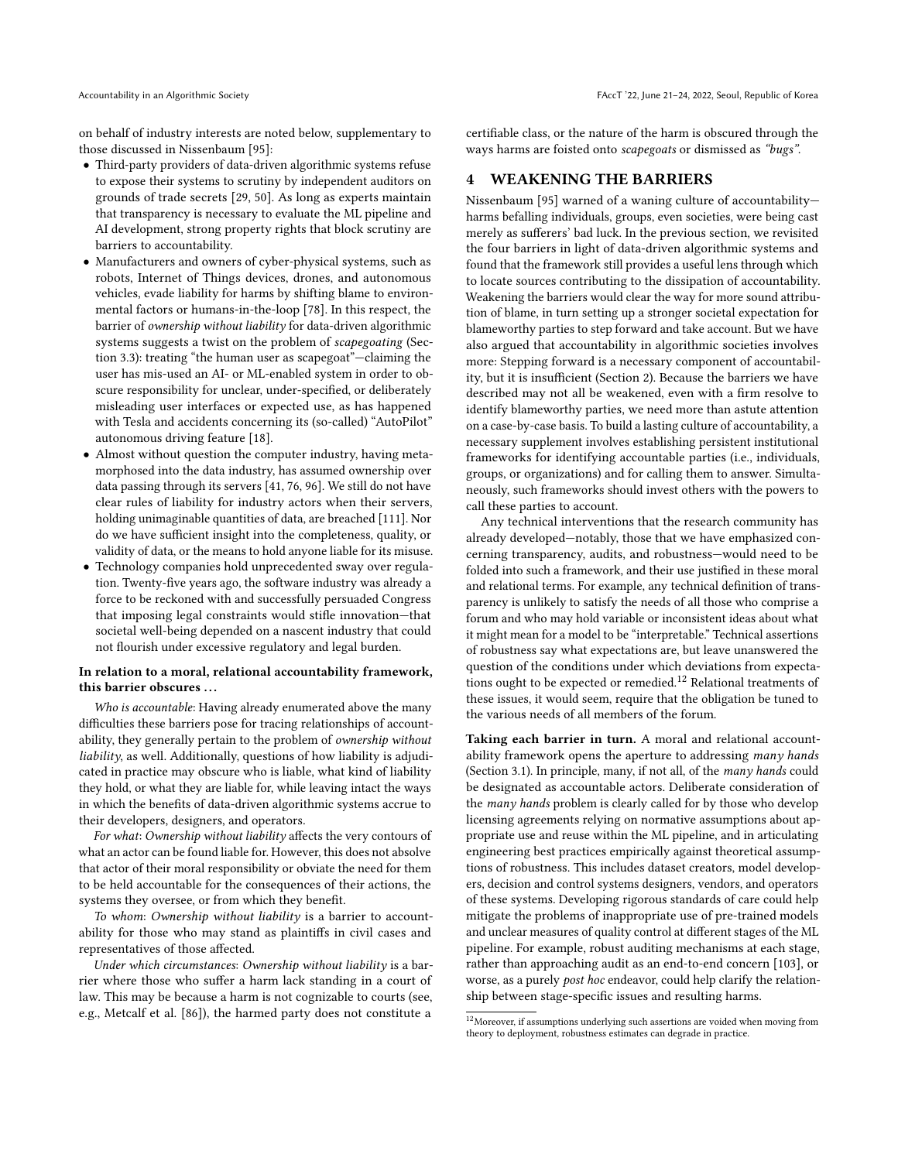on behalf of industry interests are noted below, supplementary to those discussed in Nissenbaum [\[95\]](#page-11-0):

- Third-party providers of data-driven algorithmic systems refuse to expose their systems to scrutiny by independent auditors on grounds of trade secrets [\[29,](#page-10-20) [50\]](#page-11-45). As long as experts maintain that transparency is necessary to evaluate the ML pipeline and AI development, strong property rights that block scrutiny are barriers to accountability.
- Manufacturers and owners of cyber-physical systems, such as robots, Internet of Things devices, drones, and autonomous vehicles, evade liability for harms by shifting blame to environmental factors or humans-in-the-loop [\[78\]](#page-11-44). In this respect, the barrier of ownership without liability for data-driven algorithmic systems suggests a twist on the problem of scapegoating (Section [3.3\)](#page-6-0): treating "the human user as scapegoat"—claiming the user has mis-used an AI- or ML-enabled system in order to obscure responsibility for unclear, under-specified, or deliberately misleading user interfaces or expected use, as has happened with Tesla and accidents concerning its (so-called) "AutoPilot" autonomous driving feature [\[18\]](#page-10-46).
- Almost without question the computer industry, having metamorphosed into the data industry, has assumed ownership over data passing through its servers [\[41,](#page-10-19) [76,](#page-11-23) [96\]](#page-11-18). We still do not have clear rules of liability for industry actors when their servers, holding unimaginable quantities of data, are breached [\[111\]](#page-12-45). Nor do we have sufficient insight into the completeness, quality, or validity of data, or the means to hold anyone liable for its misuse.
- Technology companies hold unprecedented sway over regulation. Twenty-five years ago, the software industry was already a force to be reckoned with and successfully persuaded Congress that imposing legal constraints would stifle innovation—that societal well-being depended on a nascent industry that could not flourish under excessive regulatory and legal burden.

#### In relation to a moral, relational accountability framework, this barrier obscures ...

Who is accountable: Having already enumerated above the many difficulties these barriers pose for tracing relationships of accountability, they generally pertain to the problem of ownership without liability, as well. Additionally, questions of how liability is adjudicated in practice may obscure who is liable, what kind of liability they hold, or what they are liable for, while leaving intact the ways in which the benefits of data-driven algorithmic systems accrue to their developers, designers, and operators.

For what: Ownership without liability affects the very contours of what an actor can be found liable for. However, this does not absolve that actor of their moral responsibility or obviate the need for them to be held accountable for the consequences of their actions, the systems they oversee, or from which they benefit.

To whom: Ownership without liability is a barrier to accountability for those who may stand as plaintiffs in civil cases and representatives of those affected.

Under which circumstances: Ownership without liability is a barrier where those who suffer a harm lack standing in a court of law. This may be because a harm is not cognizable to courts (see, e.g., Metcalf et al. [\[86\]](#page-11-35)), the harmed party does not constitute a

certifiable class, or the nature of the harm is obscured through the ways harms are foisted onto scapegoats or dismissed as "bugs".

# <span id="page-8-0"></span>4 WEAKENING THE BARRIERS

Nissenbaum [\[95\]](#page-11-0) warned of a waning culture of accountability harms befalling individuals, groups, even societies, were being cast merely as sufferers' bad luck. In the previous section, we revisited the four barriers in light of data-driven algorithmic systems and found that the framework still provides a useful lens through which to locate sources contributing to the dissipation of accountability. Weakening the barriers would clear the way for more sound attribution of blame, in turn setting up a stronger societal expectation for blameworthy parties to step forward and take account. But we have also argued that accountability in algorithmic societies involves more: Stepping forward is a necessary component of accountability, but it is insufficient (Section [2\)](#page-2-4). Because the barriers we have described may not all be weakened, even with a firm resolve to identify blameworthy parties, we need more than astute attention on a case-by-case basis. To build a lasting culture of accountability, a necessary supplement involves establishing persistent institutional frameworks for identifying accountable parties (i.e., individuals, groups, or organizations) and for calling them to answer. Simultaneously, such frameworks should invest others with the powers to call these parties to account.

Any technical interventions that the research community has already developed—notably, those that we have emphasized concerning transparency, audits, and robustness—would need to be folded into such a framework, and their use justified in these moral and relational terms. For example, any technical definition of transparency is unlikely to satisfy the needs of all those who comprise a forum and who may hold variable or inconsistent ideas about what it might mean for a model to be "interpretable." Technical assertions of robustness say what expectations are, but leave unanswered the question of the conditions under which deviations from expecta-tions ought to be expected or remedied.<sup>[12](#page-8-1)</sup> Relational treatments of these issues, it would seem, require that the obligation be tuned to the various needs of all members of the forum.

Taking each barrier in turn. A moral and relational accountability framework opens the aperture to addressing many hands (Section [3.1\)](#page-3-1). In principle, many, if not all, of the many hands could be designated as accountable actors. Deliberate consideration of the many hands problem is clearly called for by those who develop licensing agreements relying on normative assumptions about appropriate use and reuse within the ML pipeline, and in articulating engineering best practices empirically against theoretical assumptions of robustness. This includes dataset creators, model developers, decision and control systems designers, vendors, and operators of these systems. Developing rigorous standards of care could help mitigate the problems of inappropriate use of pre-trained models and unclear measures of quality control at different stages of the ML pipeline. For example, robust auditing mechanisms at each stage, rather than approaching audit as an end-to-end concern [\[103\]](#page-12-5), or worse, as a purely post hoc endeavor, could help clarify the relationship between stage-specific issues and resulting harms.

<span id="page-8-1"></span> $^{12}\rm{Moreover}$  if assumptions underlying such assertions are voided when moving from theory to deployment, robustness estimates can degrade in practice.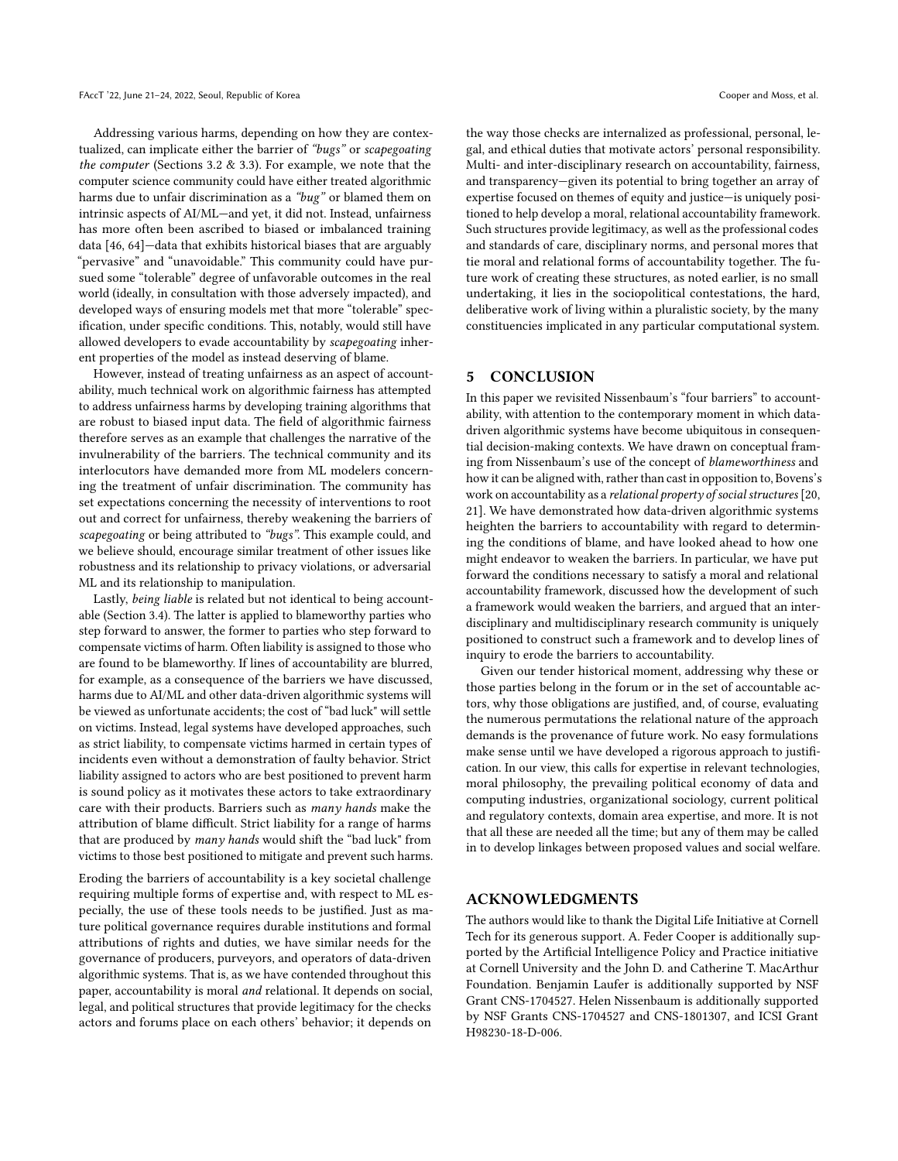Addressing various harms, depending on how they are contextualized, can implicate either the barrier of "bugs" or scapegoating the computer (Sections [3.2](#page-5-0) & [3.3\)](#page-6-0). For example, we note that the computer science community could have either treated algorithmic harms due to unfair discrimination as a "bug" or blamed them on intrinsic aspects of AI/ML—and yet, it did not. Instead, unfairness has more often been ascribed to biased or imbalanced training data [\[46,](#page-10-47) [64\]](#page-11-48)—data that exhibits historical biases that are arguably "pervasive" and "unavoidable." This community could have pursued some "tolerable" degree of unfavorable outcomes in the real world (ideally, in consultation with those adversely impacted), and developed ways of ensuring models met that more "tolerable" specification, under specific conditions. This, notably, would still have allowed developers to evade accountability by scapegoating inherent properties of the model as instead deserving of blame.

However, instead of treating unfairness as an aspect of accountability, much technical work on algorithmic fairness has attempted to address unfairness harms by developing training algorithms that are robust to biased input data. The field of algorithmic fairness therefore serves as an example that challenges the narrative of the invulnerability of the barriers. The technical community and its interlocutors have demanded more from ML modelers concerning the treatment of unfair discrimination. The community has set expectations concerning the necessity of interventions to root out and correct for unfairness, thereby weakening the barriers of scapegoating or being attributed to "bugs". This example could, and we believe should, encourage similar treatment of other issues like robustness and its relationship to privacy violations, or adversarial ML and its relationship to manipulation.

Lastly, being liable is related but not identical to being accountable (Section [3.4\)](#page-7-0). The latter is applied to blameworthy parties who step forward to answer, the former to parties who step forward to compensate victims of harm. Often liability is assigned to those who are found to be blameworthy. If lines of accountability are blurred, for example, as a consequence of the barriers we have discussed, harms due to AI/ML and other data-driven algorithmic systems will be viewed as unfortunate accidents; the cost of "bad luck" will settle on victims. Instead, legal systems have developed approaches, such as strict liability, to compensate victims harmed in certain types of incidents even without a demonstration of faulty behavior. Strict liability assigned to actors who are best positioned to prevent harm is sound policy as it motivates these actors to take extraordinary care with their products. Barriers such as many hands make the attribution of blame difficult. Strict liability for a range of harms that are produced by many hands would shift the "bad luck" from victims to those best positioned to mitigate and prevent such harms.

Eroding the barriers of accountability is a key societal challenge requiring multiple forms of expertise and, with respect to ML especially, the use of these tools needs to be justified. Just as mature political governance requires durable institutions and formal attributions of rights and duties, we have similar needs for the governance of producers, purveyors, and operators of data-driven algorithmic systems. That is, as we have contended throughout this paper, accountability is moral and relational. It depends on social, legal, and political structures that provide legitimacy for the checks actors and forums place on each others' behavior; it depends on

the way those checks are internalized as professional, personal, legal, and ethical duties that motivate actors' personal responsibility. Multi- and inter-disciplinary research on accountability, fairness, and transparency—given its potential to bring together an array of expertise focused on themes of equity and justice—is uniquely positioned to help develop a moral, relational accountability framework. Such structures provide legitimacy, as well as the professional codes and standards of care, disciplinary norms, and personal mores that tie moral and relational forms of accountability together. The future work of creating these structures, as noted earlier, is no small undertaking, it lies in the sociopolitical contestations, the hard, deliberative work of living within a pluralistic society, by the many constituencies implicated in any particular computational system.

### 5 CONCLUSION

In this paper we revisited Nissenbaum's "four barriers" to accountability, with attention to the contemporary moment in which datadriven algorithmic systems have become ubiquitous in consequential decision-making contexts. We have drawn on conceptual framing from Nissenbaum's use of the concept of blameworthiness and how it can be aligned with, rather than cast in opposition to, Bovens's work on accountability as a relational property of social structures [\[20,](#page-10-8) [21\]](#page-10-33). We have demonstrated how data-driven algorithmic systems heighten the barriers to accountability with regard to determining the conditions of blame, and have looked ahead to how one might endeavor to weaken the barriers. In particular, we have put forward the conditions necessary to satisfy a moral and relational accountability framework, discussed how the development of such a framework would weaken the barriers, and argued that an interdisciplinary and multidisciplinary research community is uniquely positioned to construct such a framework and to develop lines of inquiry to erode the barriers to accountability.

Given our tender historical moment, addressing why these or those parties belong in the forum or in the set of accountable actors, why those obligations are justified, and, of course, evaluating the numerous permutations the relational nature of the approach demands is the provenance of future work. No easy formulations make sense until we have developed a rigorous approach to justification. In our view, this calls for expertise in relevant technologies, moral philosophy, the prevailing political economy of data and computing industries, organizational sociology, current political and regulatory contexts, domain area expertise, and more. It is not that all these are needed all the time; but any of them may be called in to develop linkages between proposed values and social welfare.

# ACKNOWLEDGMENTS

The authors would like to thank the Digital Life Initiative at Cornell Tech for its generous support. A. Feder Cooper is additionally supported by the Artificial Intelligence Policy and Practice initiative at Cornell University and the John D. and Catherine T. MacArthur Foundation. Benjamin Laufer is additionally supported by NSF Grant CNS-1704527. Helen Nissenbaum is additionally supported by NSF Grants CNS-1704527 and CNS-1801307, and ICSI Grant H98230-18-D-006.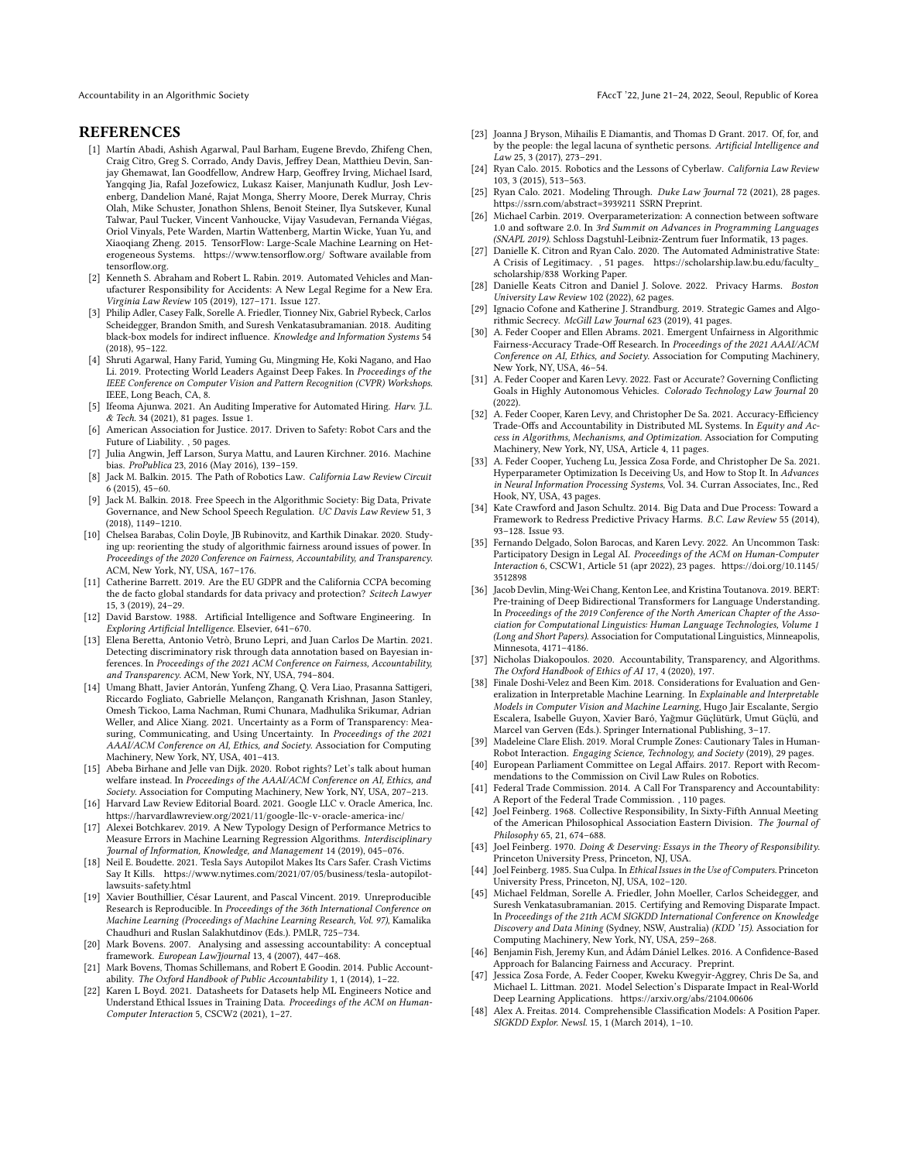#### **REFERENCES**

- <span id="page-10-35"></span>[1] Martín Abadi, Ashish Agarwal, Paul Barham, Eugene Brevdo, Zhifeng Chen, Craig Citro, Greg S. Corrado, Andy Davis, Jeffrey Dean, Matthieu Devin, Sanjay Ghemawat, Ian Goodfellow, Andrew Harp, Geoffrey Irving, Michael Isard, Yangqing Jia, Rafal Jozefowicz, Lukasz Kaiser, Manjunath Kudlur, Josh Levenberg, Dandelion Mané, Rajat Monga, Sherry Moore, Derek Murray, Chris Olah, Mike Schuster, Jonathon Shlens, Benoit Steiner, Ilya Sutskever, Kunal Talwar, Paul Tucker, Vincent Vanhoucke, Vijay Vasudevan, Fernanda Viégas, Oriol Vinyals, Pete Warden, Martin Wattenberg, Martin Wicke, Yuan Yu, and Xiaoqiang Zheng. 2015. TensorFlow: Large-Scale Machine Learning on Heterogeneous Systems.<https://www.tensorflow.org/> Software available from tensorflow.org.
- <span id="page-10-12"></span>[2] Kenneth S. Abraham and Robert L. Rabin. 2019. Automated Vehicles and Manufacturer Responsibility for Accidents: A New Legal Regime for a New Era. Virginia Law Review 105 (2019), 127–171. Issue 127.
- <span id="page-10-23"></span>[3] Philip Adler, Casey Falk, Sorelle A. Friedler, Tionney Nix, Gabriel Rybeck, Carlos Scheidegger, Brandon Smith, and Suresh Venkatasubramanian. 2018. Auditing black-box models for indirect influence. Knowledge and Information Systems 54 (2018), 95–122.
- <span id="page-10-6"></span>[4] Shruti Agarwal, Hany Farid, Yuming Gu, Mingming He, Koki Nagano, and Hao Li. 2019. Protecting World Leaders Against Deep Fakes. In Proceedings of the IEEE Conference on Computer Vision and Pattern Recognition (CVPR) Workshops. IEEE, Long Beach, CA, 8.
- <span id="page-10-3"></span>[5] Ifeoma Ajunwa. 2021. An Auditing Imperative for Automated Hiring. Harv. J.L. & Tech. 34 (2021), 81 pages. Issue 1.
- <span id="page-10-13"></span>[6] American Association for Justice. 2017. Driven to Safety: Robot Cars and the Future of Liability. , 50 pages.
- <span id="page-10-4"></span>[7] Julia Angwin, Jeff Larson, Surya Mattu, and Lauren Kirchner. 2016. Machine bias. ProPublica 23, 2016 (May 2016), 139–159.
- <span id="page-10-41"></span>[8] Jack M. Balkin. 2015. The Path of Robotics Law. California Law Review Circuit 6 (2015), 45–60.
- <span id="page-10-7"></span>[9] Jack M. Balkin. 2018. Free Speech in the Algorithmic Society: Big Data, Private Governance, and New School Speech Regulation. UC Davis Law Review 51, 3 (2018), 1149–1210.
- <span id="page-10-44"></span>[10] Chelsea Barabas, Colin Doyle, JB Rubinovitz, and Karthik Dinakar. 2020. Studying up: reorienting the study of algorithmic fairness around issues of power. In Proceedings of the 2020 Conference on Fairness, Accountability, and Transparency. ACM, New York, NY, USA, 167–176.
- <span id="page-10-18"></span>[11] Catherine Barrett. 2019. Are the EU GDPR and the California CCPA becoming the de facto global standards for data privacy and protection? Scitech Lawyer 15, 3 (2019), 24–29.
- <span id="page-10-1"></span>[12] David Barstow. 1988. Artificial Intelligence and Software Engineering. In Exploring Artificial Intelligence. Elsevier, 641–670.
- <span id="page-10-9"></span>[13] Elena Beretta, Antonio Vetrò, Bruno Lepri, and Juan Carlos De Martin. 2021. Detecting discriminatory risk through data annotation based on Bayesian inferences. In Proceedings of the 2021 ACM Conference on Fairness, Accountability, and Transparency. ACM, New York, NY, USA, 794–804.
- <span id="page-10-24"></span>[14] Umang Bhatt, Javier Antorán, Yunfeng Zhang, Q. Vera Liao, Prasanna Sattigeri, Riccardo Fogliato, Gabrielle Melançon, Ranganath Krishnan, Jason Stanley, Omesh Tickoo, Lama Nachman, Rumi Chunara, Madhulika Srikumar, Adrian Weller, and Alice Xiang. 2021. Uncertainty as a Form of Transparency: Measuring, Communicating, and Using Uncertainty. In Proceedings of the 2021 AAAI/ACM Conference on AI, Ethics, and Society. Association for Computing Machinery, New York, NY, USA, 401–413.
- <span id="page-10-39"></span>[15] Abeba Birhane and Jelle van Dijk. 2020. Robot rights? Let's talk about human welfare instead. In Proceedings of the AAAI/ACM Conference on AI, Ethics, and Society. Association for Computing Machinery, New York, NY, USA, 207–213.
- <span id="page-10-45"></span>[16] Harvard Law Review Editorial Board. 2021. Google LLC v. Oracle America, Inc. <https://harvardlawreview.org/2021/11/google-llc-v-oracle-america-inc/>
- <span id="page-10-38"></span>[17] Alexei Botchkarev. 2019. A New Typology Design of Performance Metrics to Measure Errors in Machine Learning Regression Algorithms. Interdisciplinary Journal of Information, Knowledge, and Management 14 (2019), 045–076.
- <span id="page-10-46"></span>[18] Neil E. Boudette. 2021. Tesla Says Autopilot Makes Its Cars Safer. Crash Victims Say It Kills. [https://www.nytimes.com/2021/07/05/business/tesla-autopilot](https://www.nytimes.com/2021/07/05/business/tesla-autopilot-lawsuits-safety.html)[lawsuits-safety.html](https://www.nytimes.com/2021/07/05/business/tesla-autopilot-lawsuits-safety.html)
- <span id="page-10-29"></span>[19] Xavier Bouthillier, César Laurent, and Pascal Vincent. 2019. Unreproducible Research is Reproducible. In Proceedings of the 36th International Conference on Machine Learning (Proceedings of Machine Learning Research, Vol. 97), Kamalika Chaudhuri and Ruslan Salakhutdinov (Eds.). PMLR, 725–734.
- <span id="page-10-8"></span>[20] Mark Bovens. 2007. Analysing and assessing accountability: A conceptual framework. European LawJjournal 13, 4 (2007), 447–468.
- <span id="page-10-33"></span>[21] Mark Bovens, Thomas Schillemans, and Robert E Goodin. 2014. Public Accountability. The Oxford Handbook of Public Accountability 1, 1 (2014), 1–22.
- <span id="page-10-10"></span>[22] Karen L Boyd. 2021. Datasheets for Datasets help ML Engineers Notice and Understand Ethical Issues in Training Data. Proceedings of the ACM on Human-Computer Interaction 5, CSCW2 (2021), 1–27.
- <span id="page-10-42"></span>[23] Joanna J Bryson, Mihailis E Diamantis, and Thomas D Grant. 2017. Of, for, and by the people: the legal lacuna of synthetic persons. Artificial Intelligence and Law 25, 3 (2017), 273–291.
- <span id="page-10-43"></span>[24] Ryan Calo. 2015. Robotics and the Lessons of Cyberlaw. California Law Review 103, 3 (2015), 513–563.
- <span id="page-10-21"></span>[25] Ryan Calo. 2021. Modeling Through. Duke Law Journal 72 (2021), 28 pages. <https://ssrn.com/abstract=3939211> SSRN Preprint.
- <span id="page-10-2"></span>[26] Michael Carbin. 2019. Overparameterization: A connection between software 1.0 and software 2.0. In 3rd Summit on Advances in Programming Languages (SNAPL 2019). Schloss Dagstuhl-Leibniz-Zentrum fuer Informatik, 13 pages.
- <span id="page-10-22"></span>[27] Danielle K. Citron and Ryan Calo. 2020. The Automated Administrative State: A Crisis of Legitimacy. , 51 pages. [https://scholarship.law.bu.edu/faculty\\_](https://scholarship.law.bu.edu/faculty_scholarship/838) [scholarship/838](https://scholarship.law.bu.edu/faculty_scholarship/838) Working Paper.
- <span id="page-10-5"></span>[28] Danielle Keats Citron and Daniel J. Solove. 2022. Privacy Harms. Boston University Law Review 102 (2022), 62 pages.
- <span id="page-10-20"></span>[29] Ignacio Cofone and Katherine J. Strandburg. 2019. Strategic Games and Algorithmic Secrecy. McGill Law Journal 623 (2019), 41 pages.
- <span id="page-10-34"></span>[30] A. Feder Cooper and Ellen Abrams. 2021. Emergent Unfairness in Algorithmic Fairness-Accuracy Trade-Off Research. In Proceedings of the 2021 AAAI/ACM Conference on AI, Ethics, and Society. Association for Computing Machinery, New York, NY, USA, 46–54.
- <span id="page-10-14"></span>[31] A. Feder Cooper and Karen Levy. 2022. Fast or Accurate? Governing Conflicting Goals in Highly Autonomous Vehicles. Colorado Technology Law Journal 20 (2022).
- <span id="page-10-40"></span>[32] A. Feder Cooper, Karen Levy, and Christopher De Sa. 2021. Accuracy-Efficiency Trade-Offs and Accountability in Distributed ML Systems. In Equity and Access in Algorithms, Mechanisms, and Optimization. Association for Computing Machinery, New York, NY, USA, Article 4, 11 pages.
- <span id="page-10-27"></span>[33] A. Feder Cooper, Yucheng Lu, Jessica Zosa Forde, and Christopher De Sa. 2021. Hyperparameter Optimization Is Deceiving Us, and How to Stop It. In Advances in Neural Information Processing Systems, Vol. 34. Curran Associates, Inc., Red Hook, NY, USA, 43 pages.
- <span id="page-10-16"></span>[34] Kate Crawford and Jason Schultz. 2014. Big Data and Due Process: Toward a Framework to Redress Predictive Privacy Harms. B.C. Law Review 55 (2014), 93–128. Issue 93.
- <span id="page-10-17"></span>[35] Fernando Delgado, Solon Barocas, and Karen Levy. 2022. An Uncommon Task: Participatory Design in Legal AI. Proceedings of the ACM on Human-Computer Interaction 6, CSCW1, Article 51 (apr 2022), 23 pages. [https://doi.org/10.1145/](https://doi.org/10.1145/3512898) [3512898](https://doi.org/10.1145/3512898)
- <span id="page-10-36"></span>[36] Jacob Devlin, Ming-Wei Chang, Kenton Lee, and Kristina Toutanova. 2019. BERT: Pre-training of Deep Bidirectional Transformers for Language Understanding. In Proceedings of the 2019 Conference of the North American Chapter of the Association for Computational Linguistics: Human Language Technologies, Volume 1 (Long and Short Papers). Association for Computational Linguistics, Minneapolis, Minnesota, 4171–4186.
- <span id="page-10-11"></span>[37] Nicholas Diakopoulos. 2020. Accountability, Transparency, and Algorithms. The Oxford Handbook of Ethics of AI 17, 4 (2020), 197.
- <span id="page-10-25"></span>[38] Finale Doshi-Velez and Been Kim. 2018. Considerations for Evaluation and Generalization in Interpretable Machine Learning. In Explainable and Interpretable Models in Computer Vision and Machine Learning, Hugo Jair Escalante, Sergio Escalera, Isabelle Guyon, Xavier Baró, Yağmur Güçlütürk, Umut Güçlü, and Marcel van Gerven (Eds.). Springer International Publishing, 3–17.
- <span id="page-10-15"></span>[39] Madeleine Clare Elish. 2019. Moral Crumple Zones: Cautionary Tales in Human-Robot Interaction. Engaging Science, Technology, and Society (2019), 29 pages.
- <span id="page-10-0"></span>[40] European Parliament Committee on Legal Affairs. 2017. Report with Recommendations to the Commission on Civil Law Rules on Robotics.
- <span id="page-10-19"></span>[41] Federal Trade Commission. 2014. A Call For Transparency and Accountability: A Report of the Federal Trade Commission. , 110 pages.
- <span id="page-10-32"></span>[42] Joel Feinberg. 1968. Collective Responsibility, In Sixty-Fifth Annual Meeting of the American Philosophical Association Eastern Division. The Journal of Philosophy 65, 21, 674–688.
- <span id="page-10-30"></span>[43] Joel Feinberg. 1970. Doing & Deserving: Essays in the Theory of Responsibility. Princeton University Press, Princeton, NJ, USA.
- <span id="page-10-31"></span>[44] Joel Feinberg. 1985. Sua Culpa. In Ethical Issues in the Use of Computers. Princeton University Press, Princeton, NJ, USA, 102–120.
- <span id="page-10-37"></span>[45] Michael Feldman, Sorelle A. Friedler, John Moeller, Carlos Scheidegger, and Suresh Venkatasubramanian. 2015. Certifying and Removing Disparate Impact. In Proceedings of the 21th ACM SIGKDD International Conference on Knowledge Discovery and Data Mining (Sydney, NSW, Australia) (KDD<sup>'</sup>15). Association for Computing Machinery, New York, NY, USA, 259–268.
- <span id="page-10-47"></span>[46] Benjamin Fish, Jeremy Kun, and Ádám Dániel Lelkes. 2016. A Confidence-Based Approach for Balancing Fairness and Accuracy. Preprint.
- <span id="page-10-28"></span>[47] Jessica Zosa Forde, A. Feder Cooper, Kweku Kwegyir-Aggrey, Chris De Sa, and Michael L. Littman. 2021. Model Selection's Disparate Impact in Real-World Deep Learning Applications.<https://arxiv.org/abs/2104.00606>
- <span id="page-10-26"></span>[48] Alex A. Freitas. 2014. Comprehensible Classification Models: A Position Paper. SIGKDD Explor. Newsl. 15, 1 (March 2014), 1–10.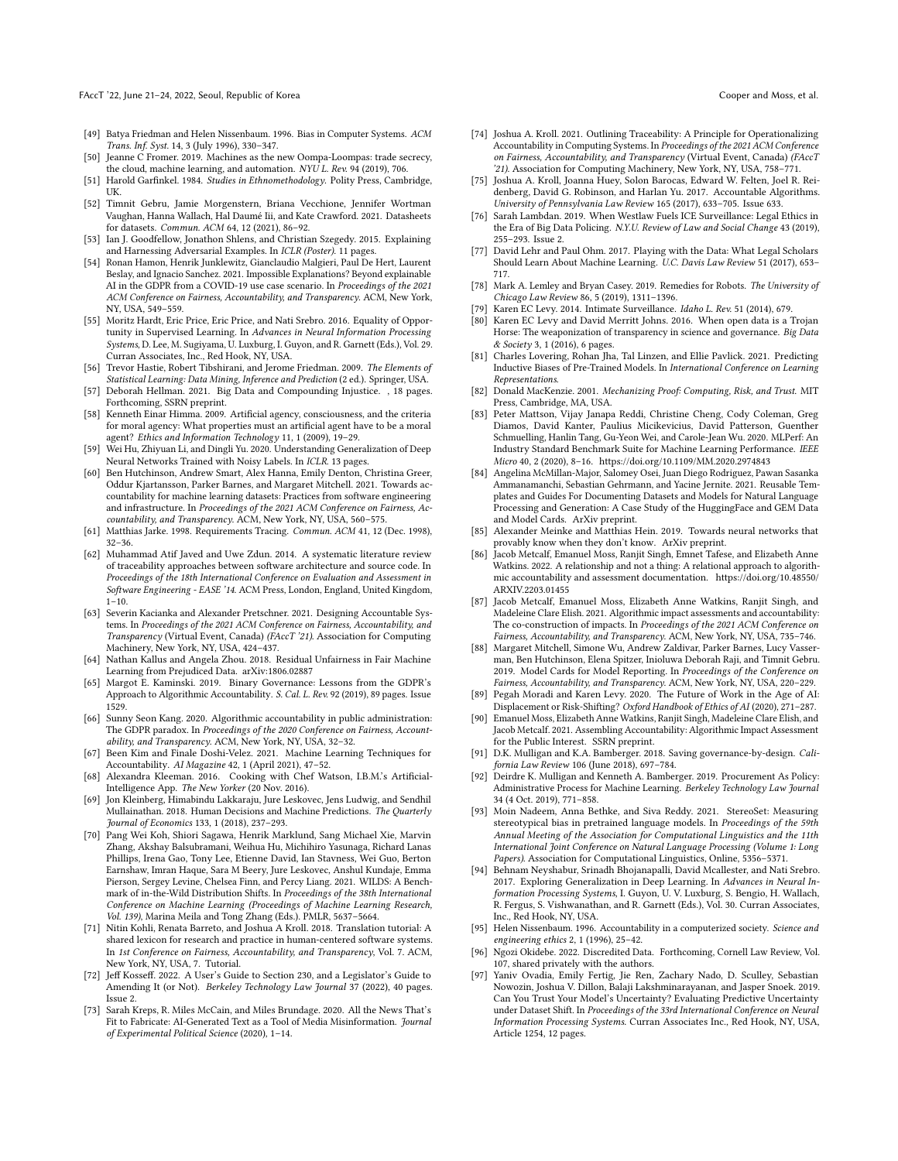FAccT '22, June 21-24, 2022, Seoul, Republic of Korea Cooper and Moss, et al.

- <span id="page-11-38"></span>[49] Batya Friedman and Helen Nissenbaum. 1996. Bias in Computer Systems. ACM Trans. Inf. Syst. 14, 3 (July 1996), 330–347.
- <span id="page-11-45"></span>[50] Jeanne C Fromer. 2019. Machines as the new Oompa-Loompas: trade secrecy, the cloud, machine learning, and automation. NYU L. Rev. 94 (2019), 706.
- <span id="page-11-34"></span>[51] Harold Garfinkel. 1984. Studies in Ethnomethodology. Polity Press, Cambridge, UK.
- <span id="page-11-11"></span>[52] Timnit Gebru, Jamie Morgenstern, Briana Vecchione, Jennifer Wortman Vaughan, Hanna Wallach, Hal Daumé Iii, and Kate Crawford. 2021. Datasheets for datasets. Commun. ACM 64, 12 (2021), 86–92.
- <span id="page-11-32"></span>[53] Ian J. Goodfellow, Jonathon Shlens, and Christian Szegedy. 2015. Explaining and Harnessing Adversarial Examples. In ICLR (Poster). 11 pages.
- <span id="page-11-20"></span>[54] Ronan Hamon, Henrik Junklewitz, Gianclaudio Malgieri, Paul De Hert, Laurent Beslay, and Ignacio Sanchez. 2021. Impossible Explanations? Beyond explainable AI in the GDPR from a COVID-19 use case scenario. In Proceedings of the 2021 ACM Conference on Fairness, Accountability, and Transparency. ACM, New York, NY, USA, 549–559.
- <span id="page-11-41"></span>[55] Moritz Hardt, Eric Price, Eric Price, and Nati Srebro. 2016. Equality of Opportunity in Supervised Learning. In Advances in Neural Information Processing Systems, D. Lee, M. Sugiyama, U. Luxburg, I. Guyon, and R. Garnett (Eds.), Vol. 29. Curran Associates, Inc., Red Hook, NY, USA.
- <span id="page-11-42"></span>[56] Trevor Hastie, Robert Tibshirani, and Jerome Friedman. 2009. The Elements of Statistical Learning: Data Mining, Inference and Prediction (2 ed.). Springer, USA.
- <span id="page-11-17"></span>[57] Deborah Hellman. 2021. Big Data and Compounding Injustice. , 18 pages. Forthcoming, SSRN preprint.
- <span id="page-11-43"></span>[58] Kenneth Einar Himma. 2009. Artificial agency, consciousness, and the criteria for moral agency: What properties must an artificial agent have to be a moral agent? Ethics and Information Technology 11, 1 (2009), 19–29.
- <span id="page-11-28"></span>[59] Wei Hu, Zhiyuan Li, and Dingli Yu. 2020. Understanding Generalization of Deep Neural Networks Trained with Noisy Labels. In ICLR. 13 pages.
- <span id="page-11-12"></span>[60] Ben Hutchinson, Andrew Smart, Alex Hanna, Emily Denton, Christina Greer, Oddur Kjartansson, Parker Barnes, and Margaret Mitchell. 2021. Towards accountability for machine learning datasets: Practices from software engineering and infrastructure. In Proceedings of the 2021 ACM Conference on Fairness, Accountability, and Transparency. ACM, New York, NY, USA, 560–575.
- <span id="page-11-1"></span>[61] Matthias Jarke. 1998. Requirements Tracing. Commun. ACM 41, 12 (Dec. 1998), 32–36.
- <span id="page-11-2"></span>[62] Muhammad Atif Javed and Uwe Zdun. 2014. A systematic literature review of traceability approaches between software architecture and source code. In Proceedings of the 18th International Conference on Evaluation and Assessment in Software Engineering - EASE '14. ACM Press, London, England, United Kingdom,  $1-10.$
- <span id="page-11-33"></span>[63] Severin Kacianka and Alexander Pretschner. 2021. Designing Accountable Systems. In Proceedings of the 2021 ACM Conference on Fairness, Accountability, and Transparency (Virtual Event, Canada) (FAccT '21). Association for Computing Machinery, New York, NY, USA, 424–437.
- <span id="page-11-48"></span>[64] Nathan Kallus and Angela Zhou. 2018. Residual Unfairness in Fair Machine Learning from Prejudiced Data. arXiv[:1806.02887](https://arxiv.org/abs/1806.02887)
- <span id="page-11-19"></span>[65] Margot E. Kaminski. 2019. Binary Governance: Lessons from the GDPR's Approach to Algorithmic Accountability. S. Cal. L. Rev. 92 (2019), 89 pages. Issue 1529.
- <span id="page-11-21"></span>[66] Sunny Seon Kang. 2020. Algorithmic accountability in public administration: The GDPR paradox. In Proceedings of the 2020 Conference on Fairness, Accountability, and Transparency. ACM, New York, NY, USA, 32–32.
- <span id="page-11-25"></span>[67] Been Kim and Finale Doshi-Velez. 2021. Machine Learning Techniques for Accountability. AI Magazine 42, 1 (April 2021), 47–52.
- <span id="page-11-8"></span>[68] Alexandra Kleeman. 2016. Cooking with Chef Watson, I.B.M.'s Artificial-Intelligence App. The New Yorker (20 Nov. 2016).
- <span id="page-11-6"></span>[69] Jon Kleinberg, Himabindu Lakkaraju, Jure Leskovec, Jens Ludwig, and Sendhil Mullainathan. 2018. Human Decisions and Machine Predictions. The Quarterly Journal of Economics 133, 1 (2018), 237–293.
- <span id="page-11-30"></span>[70] Pang Wei Koh, Shiori Sagawa, Henrik Marklund, Sang Michael Xie, Marvin Zhang, Akshay Balsubramani, Weihua Hu, Michihiro Yasunaga, Richard Lanas Phillips, Irena Gao, Tony Lee, Etienne David, Ian Stavness, Wei Guo, Berton Earnshaw, Imran Haque, Sara M Beery, Jure Leskovec, Anshul Kundaje, Emma Pierson, Sergey Levine, Chelsea Finn, and Percy Liang. 2021. WILDS: A Benchmark of in-the-Wild Distribution Shifts. In Proceedings of the 38th International Conference on Machine Learning (Proceedings of Machine Learning Research, Vol. 139), Marina Meila and Tong Zhang (Eds.). PMLR, 5637–5664.
- <span id="page-11-10"></span>[71] Nitin Kohli, Renata Barreto, and Joshua A Kroll. 2018. Translation tutorial: A shared lexicon for research and practice in human-centered software systems. In 1st Conference on Fairness, Accountability, and Transparency, Vol. 7. ACM, New York, NY, USA, 7. Tutorial.
- <span id="page-11-46"></span>[72] Jeff Kosseff. 2022. A User's Guide to Section 230, and a Legislator's Guide to Amending It (or Not). Berkeley Technology Law Journal 37 (2022), 40 pages. Issue 2.
- <span id="page-11-9"></span>[73] Sarah Kreps, R. Miles McCain, and Miles Brundage. 2020. All the News That's Fit to Fabricate: AI-Generated Text as a Tool of Media Misinformation. Journal of Experimental Political Science (2020), 1–14.
- <span id="page-11-26"></span>[74] Joshua A. Kroll. 2021. Outlining Traceability: A Principle for Operationalizing Accountability in Computing Systems. In Proceedings of the 2021 ACM Conference on Fairness, Accountability, and Transparency (Virtual Event, Canada) (FAccT '21). Association for Computing Machinery, New York, NY, USA, 758–771.
- <span id="page-11-4"></span>[75] Joshua A. Kroll, Joanna Huey, Solon Barocas, Edward W. Felten, Joel R. Reidenberg, David G. Robinson, and Harlan Yu. 2017. Accountable Algorithms. University of Pennsylvania Law Review 165 (2017), 633–705. Issue 633.
- <span id="page-11-23"></span>[76] Sarah Lambdan. 2019. When Westlaw Fuels ICE Surveillance: Legal Ethics in the Era of Big Data Policing. N.Y.U. Review of Law and Social Change 43 (2019), 255–293. Issue 2.
- <span id="page-11-24"></span>[77] David Lehr and Paul Ohm. 2017. Playing with the Data: What Legal Scholars Should Learn About Machine Learning. U.C. Davis Law Review 51 (2017), 653– 717.
- <span id="page-11-44"></span>[78] Mark A. Lemley and Bryan Casey. 2019. Remedies for Robots. The University of Chicago Law Review 86, 5 (2019), 1311–1396.
- <span id="page-11-47"></span>[79] Karen EC Levy. 2014. Intimate Surveillance. Idaho L. Rev. 51 (2014), 679.
- <span id="page-11-22"></span>[80] Karen EC Levy and David Merritt Johns. 2016. When open data is a Trojan Horse: The weaponization of transparency in science and governance. Big Data & Society 3, 1 (2016), 6 pages.
- <span id="page-11-39"></span>[81] Charles Lovering, Rohan Jha, Tal Linzen, and Ellie Pavlick. 2021. Predicting Inductive Biases of Pre-Trained Models. In International Conference on Learning Representations.
- <span id="page-11-37"></span>[82] Donald MacKenzie. 2001. Mechanizing Proof: Computing, Risk, and Trust. MIT Press, Cambridge, MA, USA.
- <span id="page-11-36"></span>[83] Peter Mattson, Vijay Janapa Reddi, Christine Cheng, Cody Coleman, Greg Diamos, David Kanter, Paulius Micikevicius, David Patterson, Guenther Schmuelling, Hanlin Tang, Gu-Yeon Wei, and Carole-Jean Wu. 2020. MLPerf: An Industry Standard Benchmark Suite for Machine Learning Performance. IEEE Micro 40, 2 (2020), 8–16.<https://doi.org/10.1109/MM.2020.2974843>
- <span id="page-11-13"></span>[84] Angelina McMillan-Major, Salomey Osei, Juan Diego Rodriguez, Pawan Sasanka Ammanamanchi, Sebastian Gehrmann, and Yacine Jernite. 2021. Reusable Templates and Guides For Documenting Datasets and Models for Natural Language Processing and Generation: A Case Study of the HuggingFace and GEM Data and Model Cards. ArXiv preprint.
- <span id="page-11-27"></span>[85] Alexander Meinke and Matthias Hein. 2019. Towards neural networks that provably know when they don't know. ArXiv preprint.
- <span id="page-11-35"></span>[86] Jacob Metcalf, Emanuel Moss, Ranjit Singh, Emnet Tafese, and Elizabeth Anne Watkins. 2022. A relationship and not a thing: A relational approach to algorithmic accountability and assessment documentation. [https://doi.org/10.48550/](https://doi.org/10.48550/ARXIV.2203.01455) [ARXIV.2203.01455](https://doi.org/10.48550/ARXIV.2203.01455)
- <span id="page-11-15"></span>[87] Jacob Metcalf, Emanuel Moss, Elizabeth Anne Watkins, Ranjit Singh, and Madeleine Clare Elish. 2021. Algorithmic impact assessments and accountability: The co-construction of impacts. In Proceedings of the 2021 ACM Conference on Fairness, Accountability, and Transparency. ACM, New York, NY, USA, 735–746.
- <span id="page-11-14"></span>[88] Margaret Mitchell, Simone Wu, Andrew Zaldivar, Parker Barnes, Lucy Vasserman, Ben Hutchinson, Elena Spitzer, Inioluwa Deborah Raji, and Timnit Gebru. 2019. Model Cards for Model Reporting. In Proceedings of the Conference on Fairness, Accountability, and Transparency. ACM, New York, NY, USA, 220–229.
- <span id="page-11-7"></span>[89] Pegah Moradi and Karen Levy. 2020. The Future of Work in the Age of AI: Displacement or Risk-Shifting? Oxford Handbook of Ethics of AI (2020), 271–287.
- <span id="page-11-16"></span>[90] Emanuel Moss, Elizabeth Anne Watkins, Ranjit Singh, Madeleine Clare Elish, and Jacob Metcalf. 2021. Assembling Accountability: Algorithmic Impact Assessment for the Public Interest. SSRN preprint.
- <span id="page-11-3"></span>[91] D.K. Mulligan and K.A. Bamberger. 2018. Saving governance-by-design. California Law Review 106 (June 2018), 697–784.
- <span id="page-11-5"></span>[92] Deirdre K. Mulligan and Kenneth A. Bamberger. 2019. Procurement As Policy: Administrative Process for Machine Learning. Berkeley Technology Law Journal 34 (4 Oct. 2019), 771–858.
- <span id="page-11-40"></span>[93] Moin Nadeem, Anna Bethke, and Siva Reddy. 2021. StereoSet: Measuring stereotypical bias in pretrained language models. In Proceedings of the 59th Annual Meeting of the Association for Computational Linguistics and the 11th International Joint Conference on Natural Language Processing (Volume 1: Long Papers). Association for Computational Linguistics, Online, 5356–5371.
- <span id="page-11-29"></span>[94] Behnam Neyshabur, Srinadh Bhojanapalli, David Mcallester, and Nati Srebro. 2017. Exploring Generalization in Deep Learning. In Advances in Neural Information Processing Systems, I. Guyon, U. V. Luxburg, S. Bengio, H. Wallach, R. Fergus, S. Vishwanathan, and R. Garnett (Eds.), Vol. 30. Curran Associates, Inc., Red Hook, NY, USA.
- <span id="page-11-0"></span>[95] Helen Nissenbaum. 1996. Accountability in a computerized society. Science and engineering ethics 2, 1 (1996), 25–42.
- <span id="page-11-18"></span>[96] Ngozi Okidebe. 2022. Discredited Data. Forthcoming, Cornell Law Review, Vol. 107, shared privately with the authors.
- <span id="page-11-31"></span>[97] Yaniv Ovadia, Emily Fertig, Jie Ren, Zachary Nado, D. Sculley, Sebastian Nowozin, Joshua V. Dillon, Balaji Lakshminarayanan, and Jasper Snoek. 2019. Can You Trust Your Model's Uncertainty? Evaluating Predictive Uncertainty under Dataset Shift. In Proceedings of the 33rd International Conference on Neural Information Processing Systems. Curran Associates Inc., Red Hook, NY, USA, Article 1254, 12 pages.